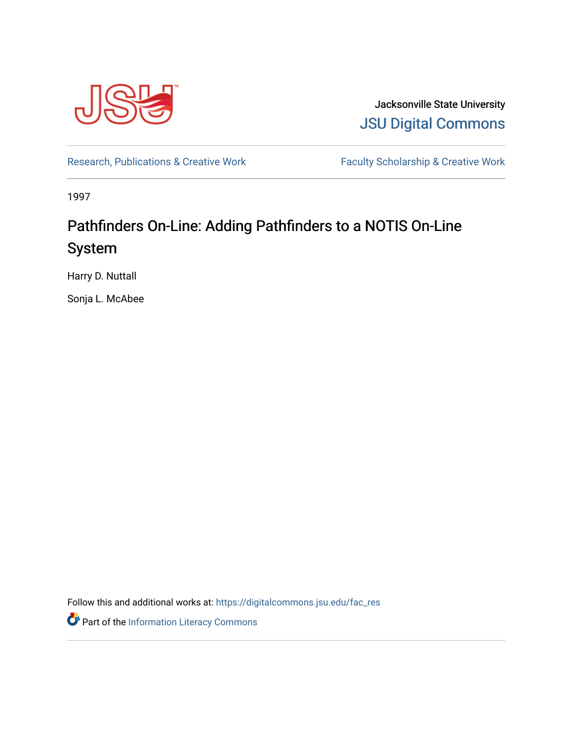

Jacksonville State University [JSU Digital Commons](https://digitalcommons.jsu.edu/) 

[Research, Publications & Creative Work](https://digitalcommons.jsu.edu/fac_res) Faculty Scholarship & Creative Work

1997

## Pathfinders On-Line: Adding Pathfinders to a NOTIS On-Line System

Harry D. Nuttall

Sonja L. McAbee

Follow this and additional works at: [https://digitalcommons.jsu.edu/fac\\_res](https://digitalcommons.jsu.edu/fac_res?utm_source=digitalcommons.jsu.edu%2Ffac_res%2F34&utm_medium=PDF&utm_campaign=PDFCoverPages) 

Part of the [Information Literacy Commons](http://network.bepress.com/hgg/discipline/1243?utm_source=digitalcommons.jsu.edu%2Ffac_res%2F34&utm_medium=PDF&utm_campaign=PDFCoverPages)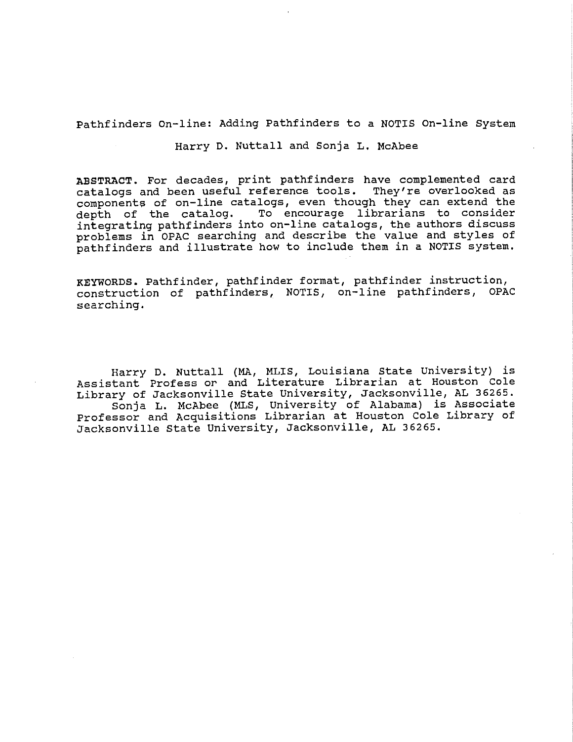Pathfinders on-line: Adding Pathfinders to a NOTIS On-line system

Harry D. Nuttall and Sonja L. McAbee

**ABSTRACT.** For decades, print pathfinders have complemented card catalogs and been useful reference tools. They're overlooked as components of on-line catalogs, even though they can extend the<br>depth of the catalog. To encourage librarians to consider To encourage librarians to consider integrating pathfinders into on-line catalogs, the authors discuss problems in OPAC searching and describe the value and styles of pathfinders and illustrate how to include them in a NOTIS system.

**KEYWORDS.** Pathfinder, pathfinder format, pathfinder instruction, construction of pathfinders, NOTIS, on-line pathfinders, OPAC searching.

Harry D. Nuttall (MA, MLIS, Louisiana State University) is Assistant Profess or and Literature Librarian at Houston Cole Library of Jacksonville State University, Jacksonville, AL 36265. Sonja L. McAbee (MLS, University of Alabama) is Associate Professor and Acquisitions Librarian at Houston Cole Library of Jacksonville state University, Jacksonville, AL 36265.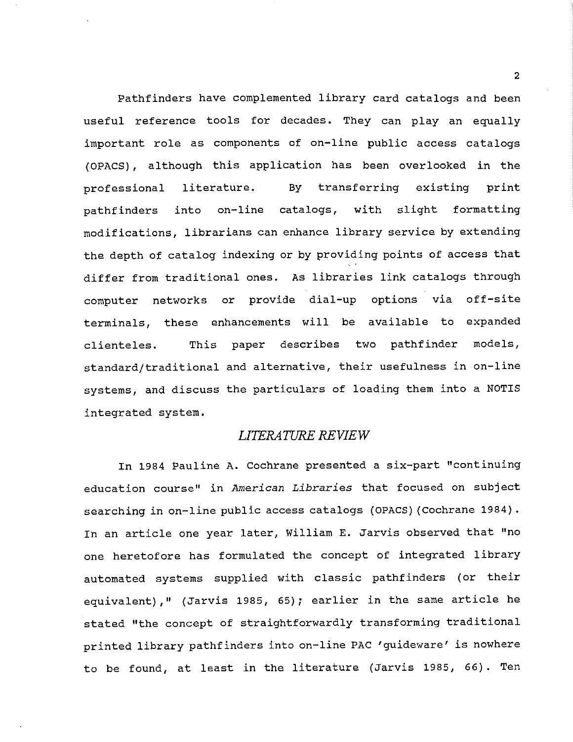Pathfinders have complemented library card catalogs and been useful reference tools for decades. They can play an equally important role as components of on-line public access catalogs (OPACS), although this application has been overlooked in the professional literature. pathfinders into on-line By transferring existing print catalogs, with slight formatting modifications, librarians can enhance library service by extending the depth of catalog indexing or by providing points of access that differ from traditional ones. As libraries link catalogs through computer networks or provide dial-up options via off-site terminals, these enhancements will be available to expanded clienteles. This paper describes two pathfinder models, standard/traditional and alternative, their usefulness in on-line systems, and discuss the particulars of loading them into a NOTIS integrated system.

### *LITERATURE REVIEW*

In 1984 Pauline A. Cochrane presented a six-part "continuing education course" in *American Libraries* that focused on subject searching in on-line public access catalogs {OPACS) (Cochrane 1984). In an article one year later, William E. Jarvis observed that "no one heretofore has formulated the concept of integrated library automated systems supplied with classic pathfinders (or their equivalent)," (Jarvis 1985, 65); earlier in the same article he stated "the concept of straightforwardly transforming traditional printed library pathfinders into on-line PAC 'guideware' is nowhere to be found, at least in the literature (Jarvis 1985, 66). Ten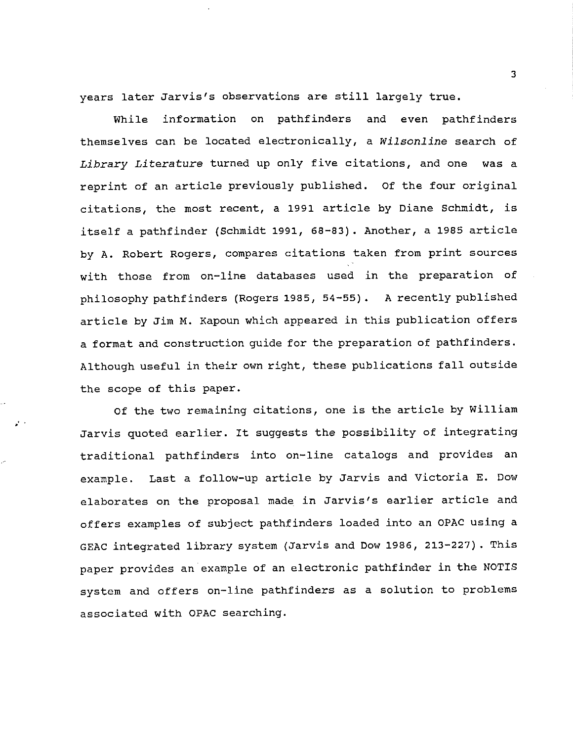years later Jarvis's observations are still largely true.

While information on pathfinders and even pathfinders themselves can be located electronically, a *Wilsonline* search of *Library Literature* turned up only five citations, and one was a reprint of an article previously published. Of the four original citations, the most recent, a 1991 article by Diane Schmidt, *is*  itself a pathfinder (Schmidt 1991, 68-83). Another, a 1985 article by A. Robert Rogers, compares citations taken from print sources with those from on-line databases used in the preparation of philosophy pathfinders (Rogers 1985, 54-55). A recently published article by Jim M. Kapoun which appeared in this publication offers a format and construction guide for the preparation of pathfinders. Although useful in their own right, these publications fall outside the scope of this paper.

Of the two remaining citations, one *is* the article by William Jarvis quoted earlier. It suggests the possibility of integrating traditional pathfinders into on-line catalogs and provides an example. Last a follow-up article by Jarvis and Victoria E. Dow elaborates on the proposal made in Jarvis's earlier article and offers examples of subject pathfinders loaded into an OPAC using a GEAC integrated library system (Jarvis and Dow 1986, 213-227). This paper provides an example of an electronic pathfinder in the NOTIS system and offers on-line pathfinders as a solution to problems associated with OPAC searching.

 $\mathcal{F}^{\mathcal{F}}$  .

3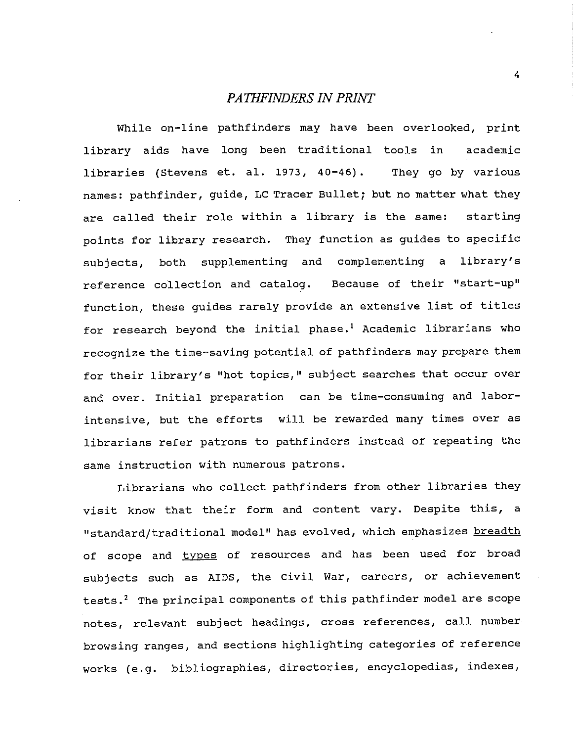### *PATIIFINDERS IN PRINT*

While on-line pathfinders may have been overlooked, print library aids have long been traditional tools in academic libraries (Stevens et. al. 1973, 40-46). They go by various names: pathfinder, guide, LC Tracer Bullet; but no matter what they are called their role within a library is the same: starting points for library research. They function as guides to specific subjects, both supplementing and complementing a library's reference collection and catalog. Because of their "start-up" function, these guides rarely provide an extensive list of titles for research beyond the initial phase.<sup>1</sup> Academic librarians who recognize the time-saving potential of pathfinders may prepare them for their library's "hot topics," subject searches that occur over and over. Initial preparation can be time-consuming and laborintensive, but the efforts will be rewarded many times over as librarians refer patrons to pathfinders instead of repeating the same instruction with numerous patrons.

Librarians who collect pathfinders from other libraries they visit know that their form and content vary. Despite this, a "standard/traditional model" has evolved, which emphasizes breadth of scope and types of resources and has been used for broad subjects such as AIDS, the Civil War, careers, or achievement tests.<sup>2</sup> The principal components of this pathfinder model are scope notes, relevant subject headings, cross references, call number browsing ranges, and sections highlighting categories of reference works (e.g. bibliographies, directories, encyclopedias, indexes,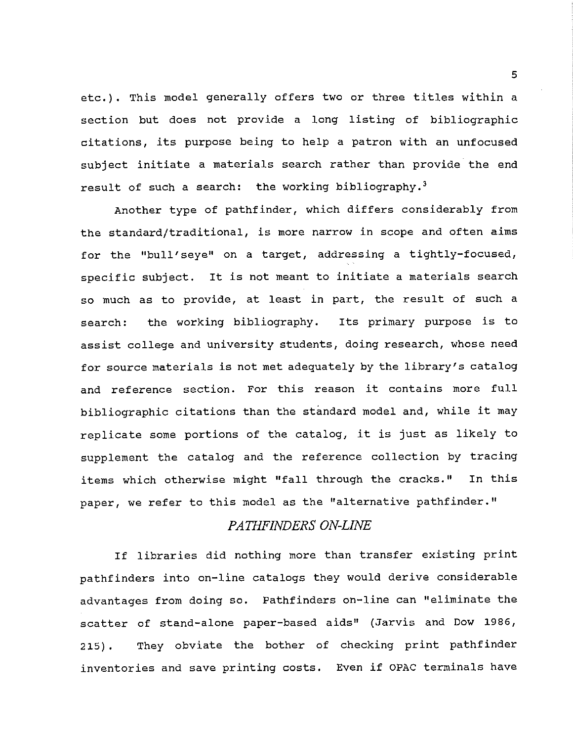etc.). This model generally offers two or three titles within a section but does not provide a long listing of bibliographic citations, its purpose being to help a patron with an unfocused subject initiate a materials search rather than provide the end result of such a search: the working bibliography.<sup>3</sup>

Another type of pathfinder, which differs considerably from the standard/traditional, is more narrow in scope and often aims for the "bull' seye" on a target, addressing a tightly-focused, specific subject. It is not meant to initiate a materials search so much as to provide, at least in part, the result of such a search: the working bibliography. Its primary purpose is to assist college and university students, doing research, whose need for source materials is not met adequately by the library's catalog and reference section. For this reason it contains more full bibliographic citations than the standard model and, while it may replicate some portions of the catalog, it is just as likely to supplement the catalog and the reference collection by tracing items which otherwise might "fall through the cracks." In this paper, we refer to this model as the "alternative pathfinder."

### *PATHFINDERS ON-LINE*

If libraries did nothing more than transfer existing print pathfinders into on-line catalogs they would derive considerable advantages from doing so. Pathfinders on-line can "eliminate the scatter of stand-alone paper-based aids" (Jarvis and Dow 1986, 215). They obviate the bother of checking print pathfinder inventories and save printing costs. Even if OPAC terminals have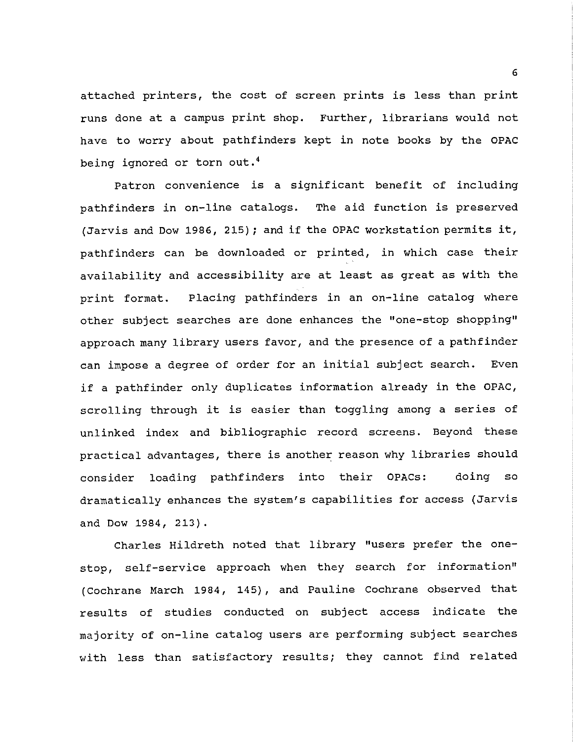attached printers, the cost of screen prints is less than print runs done at a campus print shop. Further, librarians would not have to worry about pathfinders kept in note books by the OPAC being ignored or torn out.<sup>4</sup>

Patron convenience is a significant benefit of including pathfinders in on-line catalogs. The aid function is preserved (Jarvis and Dow 1986, 215); and if the OPAC workstation permits it, pathfinders can be downloaded or printed, in which case their availability and accessibility are at least as great as with the print format. Placing pathfinders in an on-line catalog where other subject searches are done enhances the "one-stop shopping" approach many library users favor, and the presence of a pathfinder can impose a degree of order for an initial subject search. Even if a pathfinder only duplicates information already in the OPAC, scrolling through it is easier than toggling among a series of unlinked index and bibliographic record screens. Beyond these practical advantages, there is another reason why libraries should consider loading pathfinders into their OPACs: doing so dramatically enhances the system's capabilities for access (Jarvis and Dow 1984, 213).

Charles Hildreth noted that library "users prefer the onestop, self-service approach when they search for information" (Cochrane March 1984, 145), and Pauline Cochrane observed that results of studies conducted on subject access indicate the majority of on-line catalog users are performing subject searches with less than satisfactory results; they cannot find related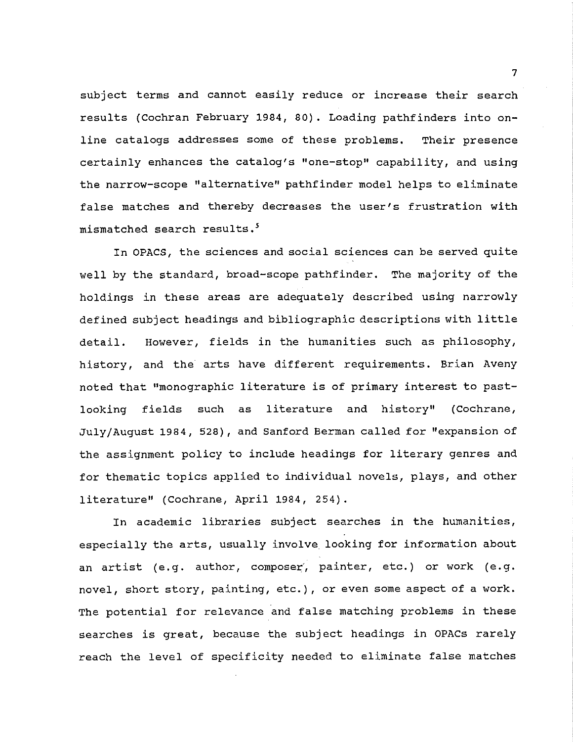subject terms and cannot easily reduce or increase their search results {Cochran February 1984, 80). Loading pathfinders into online catalogs addresses some of these problems. Their presence certainly enhances the catalog's "one-stop" capability, and using the narrow-scope "alternative" pathfinder model helps to eliminate false matches and thereby decreases the user's frustration with mismatched search results.<sup>5</sup>

In OPACS, the sciences and social sciences can be served quite well by the standard, broad-scope pathfinder. The majority of the holdings in these areas are adequately described using narrowly defined subject headings and bibliographic descriptions with little detail. However, fields in the humanities such as philosophy, history, and the arts have different requirements. Brian Aveny noted that "monographic literature is of primary interest to pastlooking fields such as literature and history" (Cochrane, July/August 1984, 528}, and Sanford Berman called for "expansion of the assignment policy to include headings for literary genres and for thematic topics applied to individual novels, plays, and other literature" (Cochrane, April 1984, 254).

In academic libraries subject searches in the humanities, especially the arts, usually involve looking for information about an artist (e.g. author, composer', painter, etc.) or work (e.g. novel, short story, painting, etc.), or even some aspect of a work. The potential for relevance and false matching problems in these searches is great, because the subject headings in OPACs rarely reach the level of specificity needed to eliminate false matches

7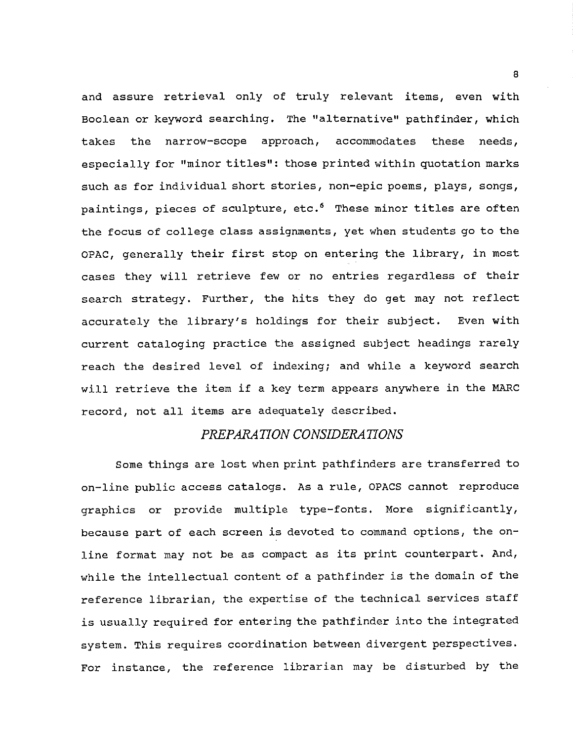and assure retrieval only of truly relevant items, even with Boolean or keyword searching. The "alternative" pathfinder, which takes the narrow-scope approach, accommodates these needs, especially for "minor titles": those printed within quotation marks such as for individual short stories, non-epic poems, plays, songs, paintings, pieces of sculpture, etc. $6$  These minor titles are often the focus of college class assignments, yet when students go to the OPAC, generally their first stop on entering the library, in most cases they will retrieve few or no entries regardless of their search strategy. Further, the hits they do get may not reflect accurately the library's holdings for their subject. Even with current cataloging practice the assigned subject headings rarely reach the desired level of indexing; and while a keyword search will retrieve the item if a key term appears anywhere in the MARC record, not all items are adequately described.

### *PREPARATION CONSIDERATIONS*

Some things are lost when print pathfinders are transferred to on-line public access catalogs. As a rule, OPACS cannot reproduce graphics or provide multiple type-fonts. More significantly, because part of each screen is devoted to command options, the online format may not be as compact as its print counterpart. And, while the intellectual content of a pathfinder is the domain of the reference librarian, the expertise of the technical services staff is usually required for entering the pathfinder into the integrated system. This requires coordination between divergent perspectives. For instance, the reference librarian may be disturbed by the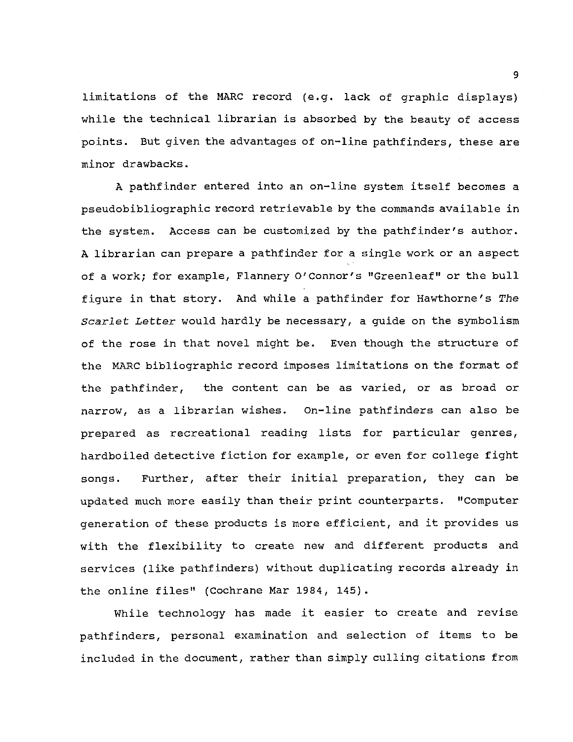limitations of the MARC record (e.g. lack of graphic displays) while the technical librarian is absorbed by the beauty of access points. But given the advantages of on-line pathfinders, these are minor drawbacks.

A pathfinder entered into an on-line system itself becomes a pseudobibliographic record retrievable by the commands available in the system. Access can be customized by the pathfinder's author. A librarian can prepare a pathfinder for a single work or an aspect of a work; for example, Flannery O'Connor's "Greenleaf" or the bull figure in that story. And while a pathfinder for Hawthorne's *The Scarlet Letter* would hardly be necessary, a guide on the symbolism of the rose in that novel might be. Even though the structure of the MARC bibliographic record imposes limitations on the format of the pathfinder, the content can be as varied, or as broad or narrow, as a librarian wishes. On-line pathfinders can also be prepared as recreational reading lists for particular genres, hardboiled detective fiction for example, or even for college fight songs. Further, after their initial preparation, they can be updated much more easily than their print counterparts. "Computer generation of these products is more efficient, and it provides us with the flexibility to create new and different products and services (like pathfinders) without duplicating records already in the online files'' (Cochrane Mar 1984, 145).

While technology has made it easier to create and revise pathfinders, personal examination and selection of items to be included in the document, rather than simply culling citations from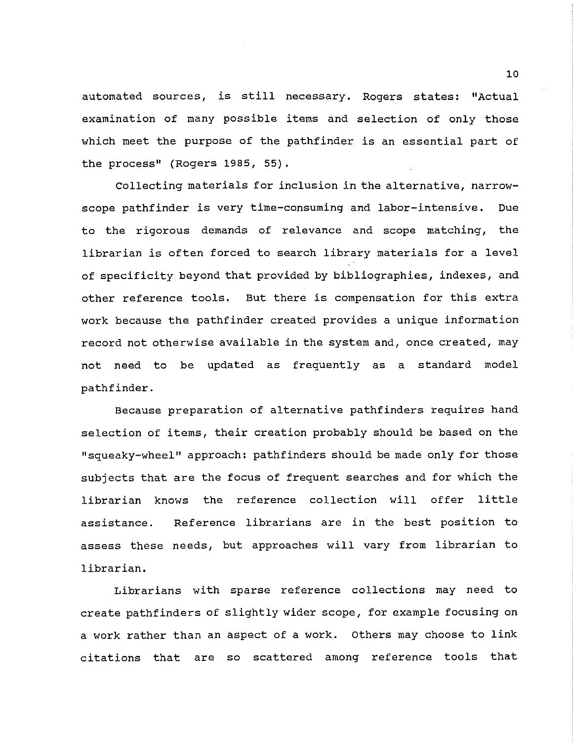automated sources, is still necessary. Rogers states: "Actual examination of many possible items and selection of only those which meet the purpose of the pathfinder is an essential part of the process'' (Rogers 1985, 55).

Collecting materials for inclusion in the alternative, narrowscope pathfinder is very time-consuming and labor-intensive. Due to the rigorous demands of relevance and scope matching, the librarian is often forced to search library materials for a level of specificity beyond that provided by bibliographies, indexes, and other reference tools. But there is compensation for this extra work because the pathfinder created provides a unique information record not otherwise available in the system and, once created, may not need to be updated as frequently as a standard model pathfinder.

Because preparation of alternative pathfinders requires hand selection of items, their creation probably should be based on the "squeaky-wheel" approach: pathfinders should be made only for those subjects that are the focus of frequent searches and for which the librarian knows the reference collection will offer little assistance. Reference librarians are in the best position to assess these needs, but approaches will vary from librarian to librarian.

Librarians with sparse reference collections may need to create pathfinders of slightly wider scope, for example focusing on a work rather than an aspect of a work. Others may choose to link citations that are so scattered among reference tools that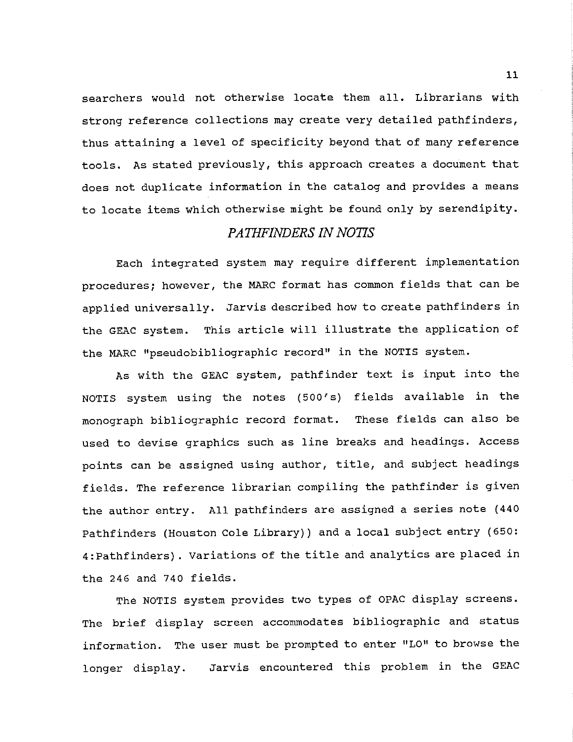searchers would not otherwise locate them all. Librarians with strong reference collections may create very detailed pathfinders, thus attaining a level of specificity beyond that of many reference tools. As stated previously, this approach creates a document that does not duplicate information in the catalog and provides a means to locate items which otherwise might be found only by serendipity.

### *PATHFINDERS IN NOTIS*

Each integrated system may require different implementation procedures; however, the MARC format has common fields that can be applied universally. Jarvis described how to create pathfinders in the GEAC system. This article will illustrate the application of the MARC "pseudobibliographic record" in the NOTIS system.

As with the GEAC system, pathfinder text is input into the NOTIS system using the notes (500's) fields available in the monograph bibliographic record format. These fields can also be used to devise graphics such as line breaks and headings. Access points can be assigned using author, title, and subject headings fields. The reference librarian compiling the pathfinder is given the author entry. All pathfinders are assigned a series note (440 Pathfinders (Houston Cole Library)) and a local subject entry (650: 4: Pathfinders). Variations of the title and analytics are placed in the 246 and 740 fields.

The NOTIS system provides two types of OPAC display screens. The brief display screen accommodates bibliographic and status information. The user must be prompted to enter "LO" to browse the longer display. Jarvis encountered this problem in the GEAC

11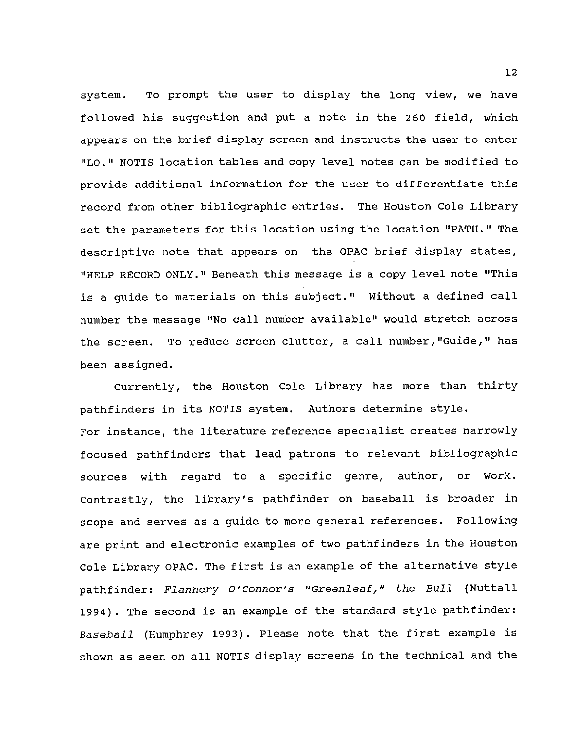system. To prompt the user to display the long view, we have followed his suggestion and put a note in the 260 field, which appears on the brief display screen and instructs the user to enter "LO. 11 NOTIS location tables and copy level notes can be modified to provide additional information for the user to differentiate this record from other bibliographic entries. The Houston Cole Library set the parameters for this location using the location "PATH." The descriptive note that appears on the OPAC brief display states, "HELP RECORD ONLY." Beneath this message is a copy level note "This is a guide to materials on this subject." Without a defined call number the message "No call number available" would stretch across the screen. To reduce screen clutter, a call number,"Guide," has been assigned.

Currently, the Houston Cole Library has more than thirty pathfinders in its NOTIS system. Authors determine style. For instance, the literature reference specialist creates narrowly focused pathfinders that lead patrons to relevant bibliographic sources with regard to a specific genre, author, or work. contrastly, the library's pathfinder on baseball is broader in scope and serves as a guide to more general references. Following are print and electronic examples of two pathfinders in the Houston Cole Library OPAC. The first is an example of the alternative style pathfinder: *Flannery O'Connor's "Greenleaf," the Bull* (Nuttall 1994). The second is an example of the standard style pathfinder: *Baseball* (Humphrey 1993). Please note that the first example is shown as seen on all NOTIS display screens in the technical and the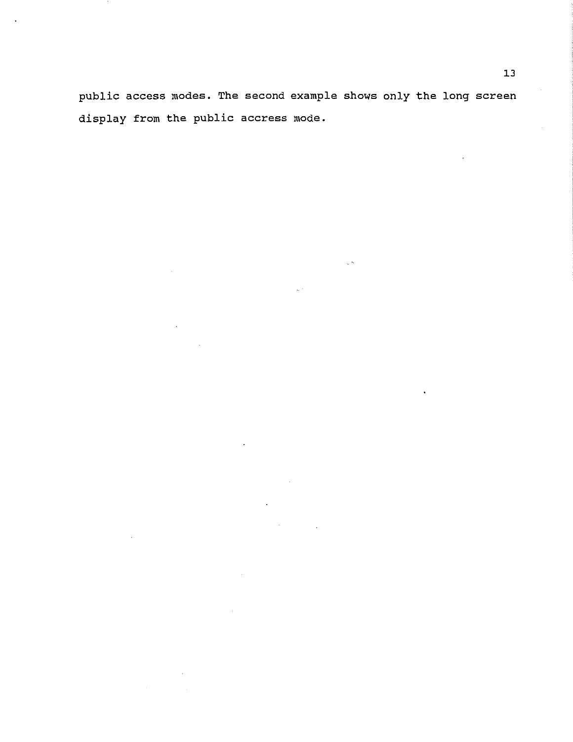public access modes. The second example shows only the long screen display from the public accress mode.

 $\mathcal{L}^{(1)}$ 

 $\sim 10$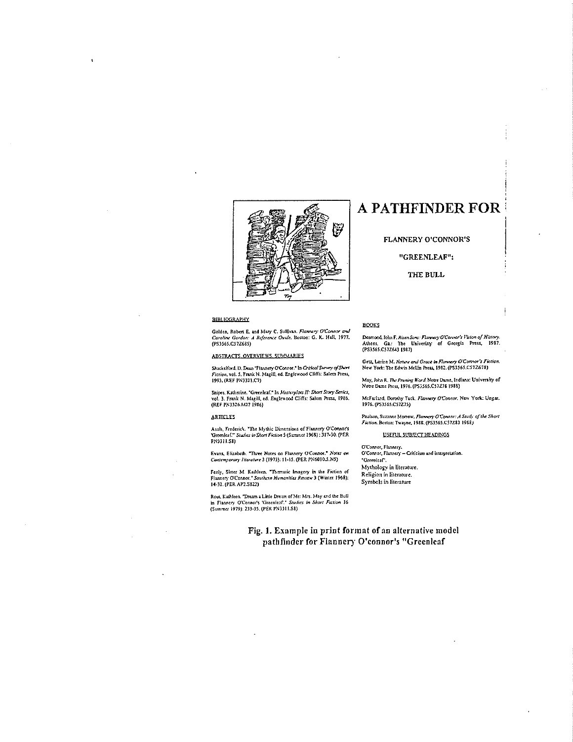

#### **BIBLIOGRAPHY**

Golden, Robert E. and Mury C. Sullivan. *Flannery O'Connor and Caroline Gordon: A Reference Guide*, Boston: G. K. Hall, 1977.<br>(PS3565.C57Z68S)

ABSTRACTS. OVERVIEWS. SUMMARIES

Shackelford.. D. Dean "Flamnery O'Connor.<sup>\*</sup> In Critical Survey of Short<br>Fiction, vol. 5. Frank N. Magill, ed. Englewood Cliffs: Salem Press, 1993. (REF PN3321.C7)

Snipes, Katherine. \*Greenleaf.\* In *Mosterplots II: Short Story Series,*<br>vol. 3. Frank N. Magill, ed. Englewood Cliffs: Salem Press, 1986.<br>(REF PN3326.M27 1986)

#### **ARTICLES**

Asals, Frederick. "The Mythic Dirnensions of Flannery O'Connor's 'Greenleaf.'" *Studies in Short Fiction 5 (Summer 1968)* : 317-30. (PER<br>PN3311.S8)

Evans, Elizabeth. "Three Notes on Flannery O'Connor." *Notes on* Contemporary *literature* 3 (1973): 11-15. (PER PN6010.5.N5)

Feely, Sister M. Kathleen, "Thematic Imagery in the Fiction of<br>Flannery O'Connor." *Southern Humanitics Review* 3 (Winter 1968):<br>14-32. (PER AP2.S822)

Rout, Kathleen, "Dream a Little Dream of Me: Mrs. May and the Bull<br>in Flannery O'Connor's 'Greenleaf.." *Studies in Short Fuction*, 16<br>(Summer 1979): 233-35. (PER PN3311.S8)

### **A PATHFINDER FOR**

#### FLANNERY O'CONNOR'S

#### "GREENLEAF":

THE BULL

#### **BOOKS**

Desmond. John F. Risen Sons: *Flannery O'Connor's Vision of Hittory*. Athens, Ga.: The Univeristy of Georgia Press, 1987.<br>(PS3565.C57Z643.1987)

Getz, Lorine M. *Nature and Groce in Flannery O'Connor's Fiction.*<br>New York: The Edwin Mellin Press, 1982. (PS3565.C57Z678)

May, John R. *The Pruning Word*, Noure Dame, Indiana: University of .<br>Noue Drme Press, 1976. (PS3565.C57Z78 1988)

McFarland, Dorothy Tuck, *Flannery O'Connor*, New York: Ungar.<br>1976. (PS3565.C57Z75)

Paulson, Suzanne Morrow*, Flannery O'Connor: A Study of the Short*<br>*Fiction,* Bostoa: Twayne, 1988. (PS3565.C57Z83 1988)

USEFUL SUBJECT HEADINGS

O'Connor, Flasnery.<br>O'Connor, Flannery – Criticism and interpretation. 'Greenleaf'. Mythology in literature. Religion in literature. Symbols in literature

Fig. 1. Example in print format of an alternative model pathfinder for Flannery O'connor's "Greenleaf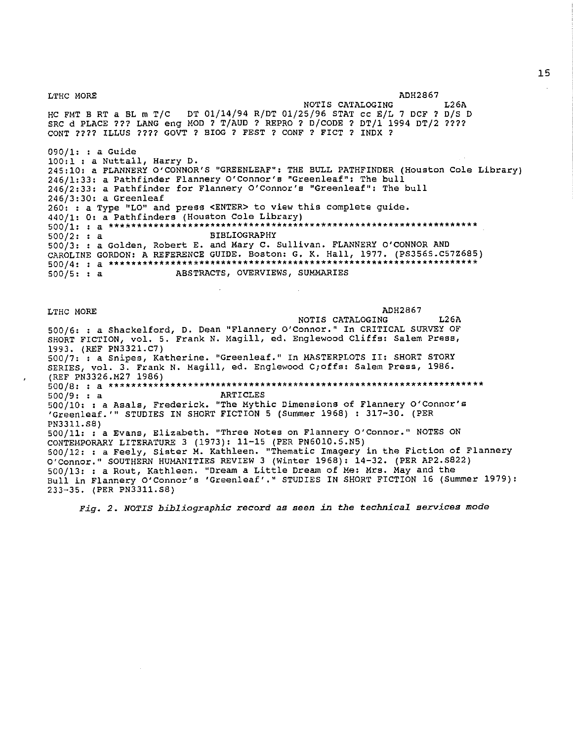LTHC MORE ADH2867 NOTIS CATALOGING HC FMT B RT a BL m T/C DT 01/14/94 R/DT 01/25/96 STAT cc E/L 7 DCF? D/S D SRC d PLACE ??? LANG eng MOD ? T/AUD ? REPRO ? D/CODE ? DT/1 1994 DT/2 ???? CONT???? ILLUS???? GOVT? BIOG? FEST? CONF? FICT? INDX? 090/1: : a Guide 100:1 : a Nuttall, Harry D. L26A 245:10: a FLANNERY O'CONNOR'S "GREENLEAF": THE BULL PATHFINDER (Houston Cole Library) 246/1:33: a Pathfinder Flannery O'Connor's "Greenleaf": The bull 246/2:33: a Pathfinder for Flannery O'Connor's "Greenleaf": The bull 246/3:30: a Greenleaf 260: : a Type "LO" and press <ENTER> to view this complete guide. 440/1: O: a Pathfinders (Houston Cole Library) **500/1: a\*\*\*\*\*\*\*\*\*\*\*\*\*\*\*\*\*\*\*\*\*\*\*\*\*\*\*\*\*\*\*\*\*\*\*\*\*\*\*\*\*\*\*\*\*\*\*\*\*\*\*\*\*\*\*\*\*\*\*\*\*\*\*\*\*\***   $500/2: : a$  BIBLIOGRAPHY 500/3: a Golden, Robert E. and Mary c. Sullivan. FLANNERY O'CONNOR AND CAROLINE GORDON: A REFERENCE GUIDE. Boston: G. K. Hall, 1977. (PS3565.C57Z685) **500/4: a\*\*\*\*\*\*\*\*\*\*\*\*\*\*\*\*\*\*\*\*\*\*\*\*\*\*\*\*\*\*\*\*\*\*\*\*\*\*\*\*\*\*\*\*\*\*\*\*\*\*\*\*\*\*\*\*\*\*\*\*\*\*\*\*\*\***  500/5: : a ABSTRACTS, OVERVIEWS, SUMMARIES LTHC MORE ADH2867 NOTIS CATALOGING L26A 500/6: : a Shackelford, D. Dean "Flannery O'Connor." In CRITICAL SURVEY OF SHORT FICTION, vol. 5. Frank N. Magill, ed. Englewood Cliffs: Salem Press, 1993. (REF PN3321.C7) 500/7: : a Snipes, Katherine. "Greenleaf." In MASTERPLOTS II: SHORT STORY SERIES, vol. 3. Frank N. Magill, ed. Englewood C;offs: Salem Press, 1986. (REF PN3326.M27 1986) **500/8: : a\*\*\*\*\*\*\*\*\*\*\*\*\*\*\*\*\*\*\*\*\*\*\*\*\*\*\*\*\*\*\*\*\*\*\*\*\*\*\*\*\*\*\*\*\*\*\*\*\*\*\*\*\*\*\*\*\*\*\*\*\*\*\*\*\*\*\***   $500/9: : a$ **500/10: : a Asals, Frederick. "The Mythic Dimensions of Flannery O'Connor's**  'Greenleaf.'" STUDIES IN SHORT FICTION 5 (Summer 1968) : 317-30. (PER PN3311.S8) **500/11: : a Evans, Elizabeth. "Three Notes on Flannery O'Connor. 11 NOTES ON**  CONTEMPORARY LITERATURE 3 (1973): 11-15 (PER PN6010.5.N5) 500/12: : a Feely, Sister M. Kathleen. "Thematic Imagery in the Fiction of Flannery O'Connor." SOUTHERN HUMANITIES REVIEW 3 (Winter 1968): 14-32. (PER AP2.S822) 500/13: : a Rout, Kathleen. "Dream a Little Dream of Me: Mrs. May and the Bull in Flannery O'Connor's 'Greenleaf'." STUDIES IN SHORT FICTION 16 (Summer 1979): 233-35. (PER PN3311. SB)

*Fig. 2. NOTIS bibliographic record as seen in the Cechnical services* **mode**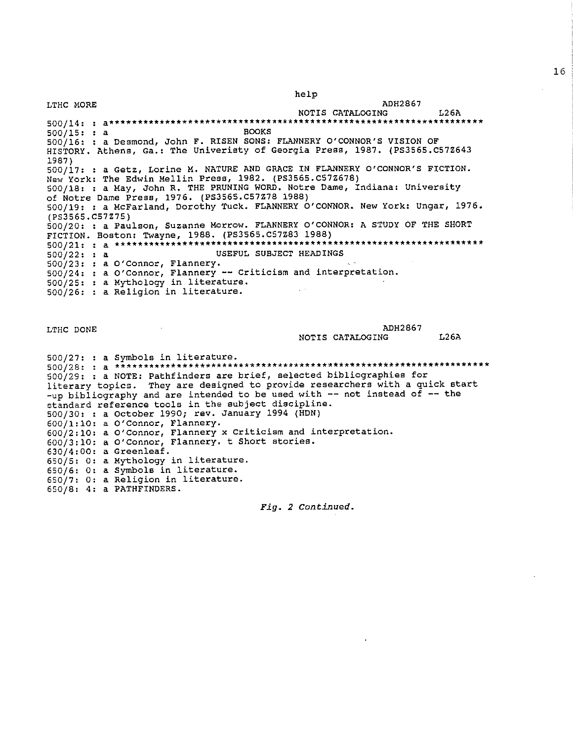help

LTHC MORE ADH2867 NOTIS CATALOGING L26A **500/14: : a\*\*\*\*\*\*\*\*\*\*\*\*\*\*\*\*\*\*\*\*\*\*\*\*\*\*\*\*\*\*\*\*\*\*\*\*\*\*\*\*\*\*\*\*\*\*\*\*\*\*\*\*\*\*\*\*\*\*\*\*\*\*\*\*\*\*\***   $500/15: : a$ 500/16: : a Desmond, John F. RISEN SONS: FLANNERY O'CONNOR'S VISION OF HISTORY. Athens, Ga.: The Univeristy of Georgia Press, 1987. (PS3565.C57Z643 1987) 500/17: : a Getz, Lorine M. NATURE AND GRACE IN FLANNERY O'CONNOR'S FICTION. New York: The Edwin Mellin Presa, 1982. (PS3565.C57Z678) 500/18: : a May, John R. THE PRUNING WORD. Notre Dame, Indiana: University of Notre Dame Press, 1976. (PS3565.C57Z78 1988) 500/19: : a McFarland, Dorothy Tuck. FLANNERY O'CONNOR. New York: Ungar, 1976. (PS3565.C57Z75) 500/20: : a Paulson, Suzanne Morrow. FLANNERY O'CONNOR: A STUDY OF THE SHORT FICTION. Boston: Twayne, 1988. (PS3565.C57Z83 1988) **500/21: a\*\*\*\*\*\*\*\*\*\*\*\*\*\*\*\*\*\*\*\*\*\*\*\*\*\*\*\*\*\*\*\*\*\*\*\*\*\*\*\*\*\*\*\*\*\*\*\*\*\*\*\*\*\*\*\*\*\*\*\*\*\*\*\*\*\***  500/22: : a USEFUL SUBJECT HEADINGS 500/23: a O'Connor, Flannery. 500/24: a O'Connor, Flannery -- Criticism and interpretation. 500/25: a Mythology in literature. 500/26: a Religion in literature.

LTHC DONE ADH2867 NOTIS CATALOGING L26A

500/27: : a Symbols in literature. **500/28: : a\*\*\*\*\*\*\*\*\*\*\*\*\*\*\*\*\*\*\*\*\*\*\*\*\*\*\*\*\*\*\*\*\*\*\*\*\*\*\*\*\*\*\*\*\*\*\*\*\*\*\*\*\*\*\*\*\*\*\*\*\*\*\*\*\*\*\***  500/29: : a NOTE: Pathfinders are brief, selected bibliographies for literary topics. They are designed to provide researchers with a quick start -up bibliography and are intended to be used with -- not instead of -- the **standard reference tools in the subject discipline.**  500/30: : a October 1990; rev. January 1994 (HDN) 600/1:10: a O'Connor, Flannery. **600/2:10: a 0 <sup>1</sup> Connor, Flannery x Criticism and interpretation.**  600/3:10: a O'Connor, Flannery. t Short stories. 630/4:00: a Greenleaf. 650/5: 0: a Mythology in literature. 650/6: 0: a My choice in literature. 650/7: 0: a Religion in literature. 650/8: 4: a PATHFINDERS.

*Fig. 2 Continued.*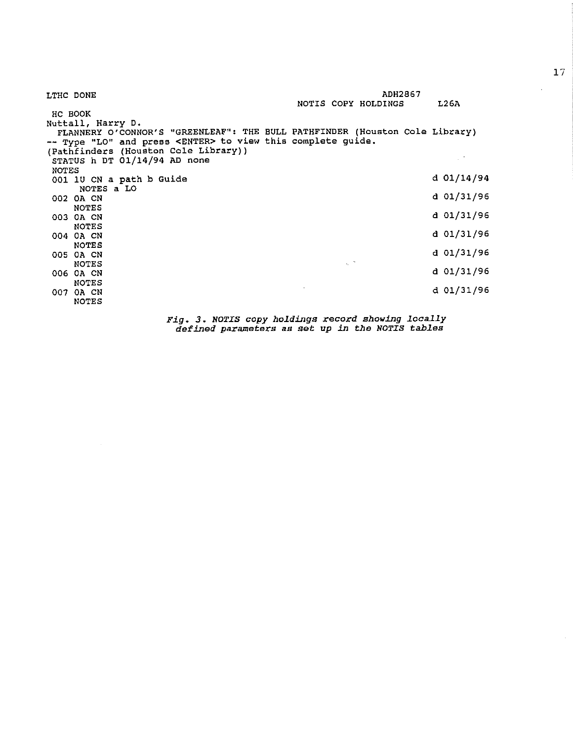| LTHC DONE                                                                                                                                          |                                 | <b>ADH2867</b>      |              |
|----------------------------------------------------------------------------------------------------------------------------------------------------|---------------------------------|---------------------|--------------|
|                                                                                                                                                    |                                 | NOTIS COPY HOLDINGS | L26A         |
| нс воок                                                                                                                                            |                                 |                     |              |
| Nuttall, Harry D.                                                                                                                                  |                                 |                     |              |
| FLANNERY O'CONNOR'S "GREENLEAF": THE BULL PATHFINDER (Houston Cole Library)<br>-- Type "LO" and press <enter> to view this complete guide.</enter> |                                 |                     |              |
| (Pathfinders (Houston Cole Library))                                                                                                               |                                 |                     |              |
| STATUS h DT 01/14/94 AD none                                                                                                                       |                                 |                     |              |
| NOTES                                                                                                                                              |                                 |                     |              |
| 001 1U CN a path b Guide                                                                                                                           |                                 |                     | d 01/14/94   |
| NOTES a LO                                                                                                                                         |                                 |                     |              |
| 002 OA CN                                                                                                                                          |                                 |                     | d 01/31/96   |
| <b>NOTES</b>                                                                                                                                       |                                 |                     |              |
| 003 OA CN                                                                                                                                          |                                 |                     | $d$ 01/31/96 |
| <b>NOTES</b>                                                                                                                                       |                                 |                     | d 01/31/96   |
| 004 OA CN                                                                                                                                          |                                 |                     |              |
| <b>NOTES</b>                                                                                                                                       |                                 |                     | d 01/31/96   |
| 005 OA CN<br><b>NOTES</b>                                                                                                                          | $\tau_{\rm e}$ , $\tau_{\rm e}$ |                     |              |
| 006 OA CN                                                                                                                                          |                                 |                     | d 01/31/96   |
| <b>NOTES</b>                                                                                                                                       |                                 |                     |              |
| 007 OA CN                                                                                                                                          |                                 |                     | d 01/31/96   |
| <b>NOTES</b>                                                                                                                                       |                                 |                     |              |
|                                                                                                                                                    |                                 |                     |              |

*Fig. 3. NOTIS copy holdings* record *showing locaJ.ly defined parameters* as set *up in the NOTIS tables* 

 $\sim$ 

 $\overline{\phantom{a}}$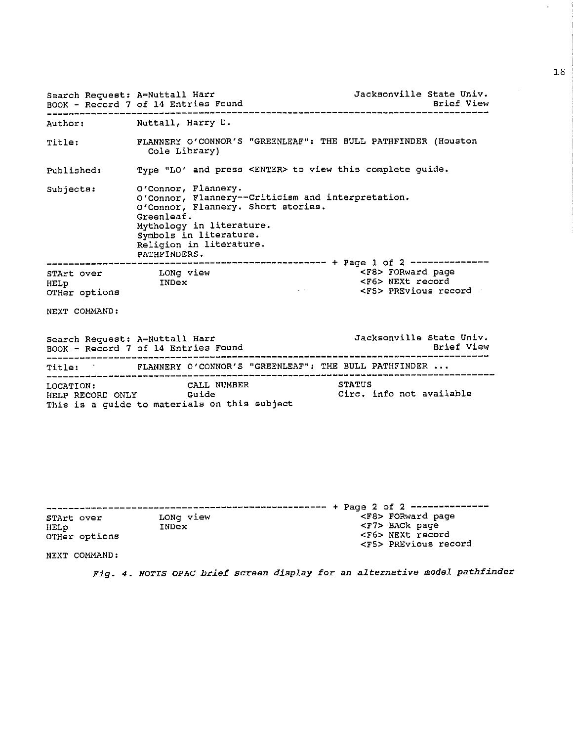| Search Request: A=Nuttall Harr                                                                  |                            |                                                                                                      |                                                                                         | Jacksonville State Univ.                                                       |            |
|-------------------------------------------------------------------------------------------------|----------------------------|------------------------------------------------------------------------------------------------------|-----------------------------------------------------------------------------------------|--------------------------------------------------------------------------------|------------|
| Author: Nuttall, Harry D.                                                                       |                            |                                                                                                      |                                                                                         |                                                                                |            |
| <b>Title:</b>                                                                                   | Cole Library)              |                                                                                                      |                                                                                         | FLANNERY O'CONNOR'S "GREENLEAF": THE BULL PATHFINDER (Houston                  |            |
| Published:                                                                                      |                            |                                                                                                      |                                                                                         | Type "LO' and press <enter> to view this complete guide.</enter>               |            |
| Subjects:                                                                                       | Greenleaf.<br>PATHFINDERS. | O'Connor, Flannery.<br>Mythology in literature.<br>Symbols in literature.<br>Religion in literature. | O'Connor, Flannery--Criticism and interpretation.<br>O'Connor, Flannery. Short stories. |                                                                                |            |
| STArt over              LONg view<br>HELp                       INDex<br>HELp<br>OTHer options  |                            |                                                                                                      | Alberta                                                                                 | <f8> FORward page<br/><f6> NEXt record<br/><f5> PREvious record</f5></f6></f8> |            |
| NEXT COMMAND:                                                                                   |                            |                                                                                                      |                                                                                         |                                                                                |            |
| Search Request: A=Nuttall Harr<br>BOOK - Record 7 of 14 Entries Found                           |                            |                                                                                                      |                                                                                         | Jacksonville State Univ.                                                       | Brief View |
|                                                                                                 |                            |                                                                                                      |                                                                                         | Title: FLANNERY O'CONNOR'S "GREENLEAF": THE BULL PATHFINDER                    |            |
| LOCATION: CALL NUMBER<br>HELP RECORD ONLY Guide<br>This is a guide to materials on this subject |                            |                                                                                                      |                                                                                         | STATUS<br>Circ. info not available                                             |            |
|                                                                                                 |                            |                                                                                                      |                                                                                         | $\pm$ 1 Decay $\Delta$ of $\Delta$                                             |            |

-------------------------------------------------- **STArt over**  LONg view <sup>+</sup>Page 2 of 2 -------------- <F8> FORward page HELp INDex OTHer options <F7> BACk page <F6> NEXt record **<FS> PREvioua record** 

NEXT COMMAND:

*Fig. 4. NOTIS OPAC brief screen display for* an *alternative model pathfinder* 

 $\mathbb{Z}^2$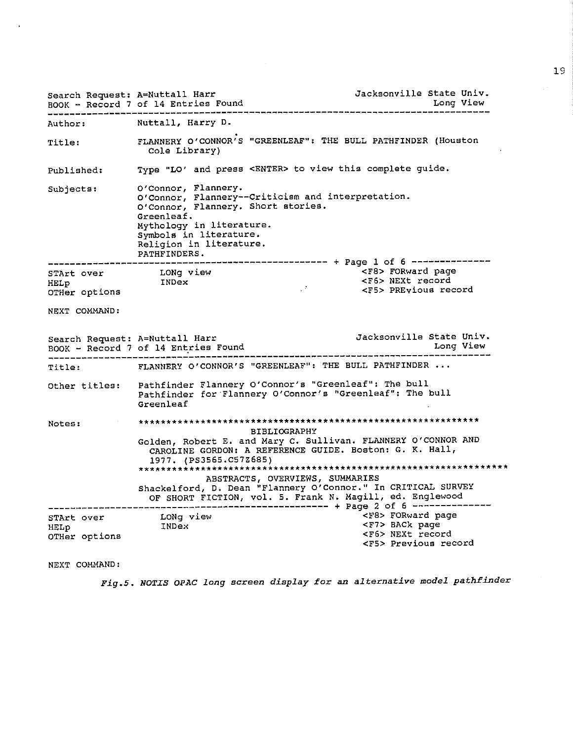|               |               | Search Request: A=Nuttall Harr<br>BOOK - Record 7 of 14 Entries Found                                                                                                    | Jacksonville State Univ.<br>Long View                                                                                                                       |
|---------------|---------------|--------------------------------------------------------------------------------------------------------------------------------------------------------------------------|-------------------------------------------------------------------------------------------------------------------------------------------------------------|
| Author:       |               | Nuttall, Harry D.                                                                                                                                                        |                                                                                                                                                             |
| Title:        |               | Cole Library)                                                                                                                                                            | FLANNERY O'CONNOR'S "GREENLEAF": THE BULL PATHFINDER (Houston                                                                                               |
| Published:    |               |                                                                                                                                                                          | Type "LO' and press <enter> to view this complete guide.</enter>                                                                                            |
| Subjects:     |               | O'Connor, Flannery.<br>O'Connor, Flannery. Short stories.<br>Greenleaf.<br>Mythology in literature.<br>Symbols in literature.<br>Religion in literature.<br>PATHFINDERS. | O'Connor, Flannery--Criticism and interpretation.                                                                                                           |
|               |               |                                                                                                                                                                          |                                                                                                                                                             |
| STArt over    |               | LONg view                                                                                                                                                                | <f8> FORward page</f8>                                                                                                                                      |
| HELp          |               | INDex                                                                                                                                                                    | FESS NEXT record<br>FESS PREvious record                                                                                                                    |
|               | OTHer options |                                                                                                                                                                          |                                                                                                                                                             |
| NEXT COMMAND: |               |                                                                                                                                                                          |                                                                                                                                                             |
|               |               | Search Request: A=Nuttall Harr<br>BOOK - Record 7 of 14 Entries Found<br>_________________________________                                                               | Jacksonville State Univ.<br>Long View                                                                                                                       |
| Title:        |               |                                                                                                                                                                          | FLANNERY O'CONNOR'S "GREENLEAF": THE BULL PATHFINDER                                                                                                        |
|               |               | Greenleaf                                                                                                                                                                | Other titles: Pathfinder Flannery O'Connor's "Greenleaf": The bull<br>Pathfinder for Flannery O'Connor's "Greenleaf": The bull                              |
| Notes:        |               |                                                                                                                                                                          |                                                                                                                                                             |
|               |               | 1977. (PS3565.C57Z685)                                                                                                                                                   | <b>BIBLIOGRAPHY</b><br>Golden, Robert E. and Mary C. Sullivan. FLANNERY O'CONNOR AND<br>CAROLINE GORDON: A REFERENCE GUIDE. Boston: G. K. Hall,             |
|               |               |                                                                                                                                                                          | ABSTRACTS, OVERVIEWS, SUMMARIES<br>Shackelford, D. Dean "Flannery O'Connor." In CRITICAL SURVEY<br>OF SHORT FICTION, vol. 5. Frank N. Magill, ed. Englewood |
|               | STArt over    | LONg view<br>INDex                                                                                                                                                       | <f8> FORward page<br/><f7> BACk page</f7></f8>                                                                                                              |
| HELP          | OTHer options |                                                                                                                                                                          | <f6> NEXt record<br/><f5> Previous record</f5></f6>                                                                                                         |

NEXT COMMAND:

*Fig.5. NOTIS OPAC long screen display for* an *alternative model pathfinder*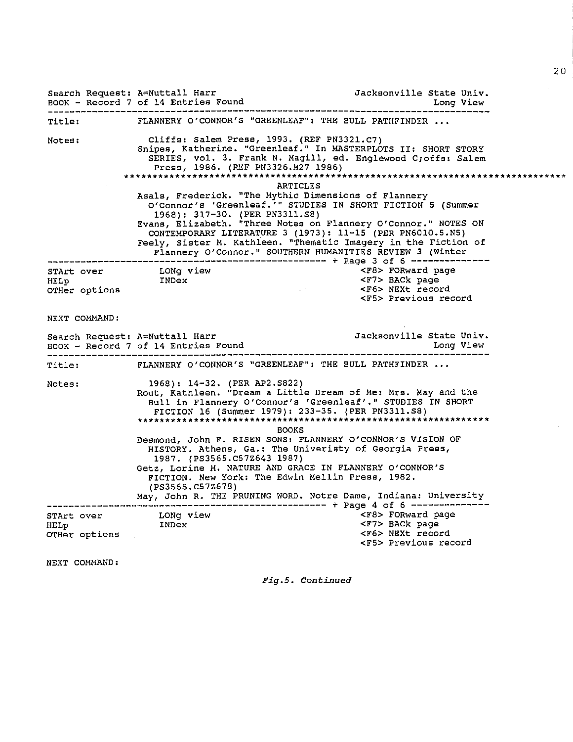|                       |                                 | Search Request: A=Nuttall Harr<br>BOOK - Record 7 of 14 Entries Found | Jacksonville State Univ.                                                                                                                                                                                                                                                                                                                                                                                                              |  |
|-----------------------|---------------------------------|-----------------------------------------------------------------------|---------------------------------------------------------------------------------------------------------------------------------------------------------------------------------------------------------------------------------------------------------------------------------------------------------------------------------------------------------------------------------------------------------------------------------------|--|
| Title:                |                                 |                                                                       | FLANNERY O'CONNOR'S "GREENLEAF": THE BULL PATHFINDER                                                                                                                                                                                                                                                                                                                                                                                  |  |
| Notes:                |                                 |                                                                       | Cliffs: Salem Press, 1993. (REF PN3321.C7)<br>Snipes, Katherine. "Greenleaf." In MASTERPLOTS II: SHORT STORY<br>SERIES, vol. 3. Frank N. Magill, ed. Englewood C;offs: Salem<br>Press, 1986. (REF PN3326.M27 1986)                                                                                                                                                                                                                    |  |
|                       |                                 |                                                                       | <b>ARTICLES</b><br>Asals, Frederick. "The Mythic Dimensions of Flannery<br>O'Connor's 'Greenleaf.'" STUDIES IN SHORT FICTION 5 (Summer<br>1968): 317-30. (PER PN3311.S8)<br>Evans, Elizabeth. "Three Notes on Flannery O'Connor." NOTES ON<br>CONTEMPORARY LITERATURE 3 (1973): 11-15 (PER PN6010.5.N5)<br>Feely, Sister M. Kathleen. "Thematic Imagery in the Fiction of<br>Flannery O'Connor." SOUTHERN HUMANITIES REVIEW 3 (Winter |  |
| HELp                  | in Territorium<br>OTHer options | STArt over LONg view<br>INDex                                         | <f8> FORward page<br/><f7> BACk page<br/><f6> NEXt record<br/><math display="inline">\sim 10^{-10}</math> km s <math display="inline">^{-1}</math><br/><f5> Previous record</f5></f6></f7></f8>                                                                                                                                                                                                                                       |  |
| NEXT COMMAND:         |                                 |                                                                       |                                                                                                                                                                                                                                                                                                                                                                                                                                       |  |
|                       |                                 |                                                                       | Jacksonville State Univ.<br>Long View                                                                                                                                                                                                                                                                                                                                                                                                 |  |
| <b>Title:</b>         |                                 |                                                                       | FLANNERY O'CONNOR'S "GREENLEAF": THE BULL PATHFINDER                                                                                                                                                                                                                                                                                                                                                                                  |  |
| Notes:                |                                 | 1968): 14-32. (PER AP2.S822)                                          | Rout, Kathleen. "Dream a Little Dream of Me: Mrs. May and the<br>Bull in Flannery O'Connor's 'Greenleaf'." STUDIES IN SHORT<br>FICTION 16 (Summer 1979): 233-35. (PER PN3311.S8)<br><b>BOOKS</b><br>Desmond, John F. RISEN SONS: FLANNERY O'CONNOR'S VISION OF<br>HISTORY. Athens, Ga.: The Univeristy of Georgia Press,                                                                                                              |  |
|                       |                                 | 1987. (PS3565.C57Z643 1987)<br>(PS3565.C57Z678)                       | Getz, Lorine M. NATURE AND GRACE IN FLANNERY O'CONNOR'S<br>FICTION. New York: The Edwin Mellin Press, 1982.<br>May, John R. THE PRUNING WORD. Notre Dame, Indiana: University                                                                                                                                                                                                                                                         |  |
| HELp<br>OTHer options | STArt over                      | LONg view<br>Tur<br>INDex                                             | <f8> FORward page<br/><f7> BACk page<br/><f6> NEXt record<br/><f5> Previous record</f5></f6></f7></f8>                                                                                                                                                                                                                                                                                                                                |  |

NEXT COMMAND:

*Fig,5, Continued*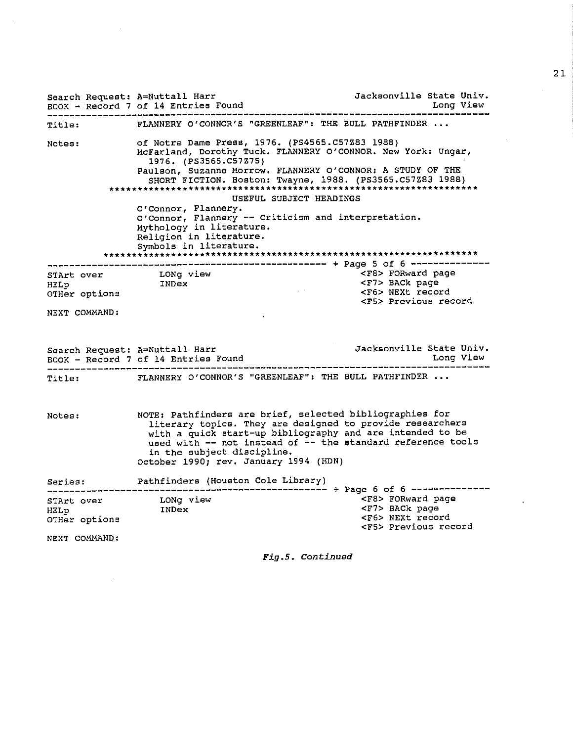Search Request: A=Nuttall Harr **Jacksonville State Univ.** BOOK - Record 7 of 14 Entries Found Long View ------------------------------------------------------------------------------- Title: **Notes:**  FLANNERY O'CONNOR'S "GREENLEAF": THE BULL PATHFINDER of Notre Dame Press, 1976. (PS4565.C57Z83 1988) McFarland, Dorothy Tuck. FLANNERY O'CONNOR. New York: Ungar, 1976. (PS3565.C57Z75) Paulson, Suzanne Morrow. FLANNERY O'CONNOR: A STUDY OF THE SHORT FICTION. Boston: Twayne, 1988. (PS3565.C57Z83 1988) \*\*\*\*\*\*\*\*\*\*\*\*\*\*\*\*\*\*\*\*\*\*\*\*\*\*\*\*\*\*\*\*\*\*\*\*\*\*\*\*\*\*\*\*\*\*\*\*\*\*\*\*\*\*\*\*\*\*\*\*\*\*\*\*\*\* USEFUL SUBJECT HEADINGS **O'Connor, Flannery. O'Connor, Flannery -- Criticism and interpretation.**  Mythology in literature. Religion in literature. Symbols in literature. \*\*\*\*\*\*\*\*\*\*\*\*\*\*\*\*\*\*\*\*\*\*\*\*\*\*\*\*\*\*\*\*\*\*\*\*\*\*\*\*\*\*\*\*\*\*\*\*\*\*\*\*\*\*\*\*\*\*\*\*\*\*\*\*\*\*\* -------------------------------------------------- <sup>+</sup>Page 5 of 6 -------------- <F8> FORward page HELp **OTHer options**  NEXT COMMAND: LONg view<br>INDex INDEX STREET SACK page<br>Index Street Sections <F6> NEXt record **<FS> Previous record**  Search Request: A=Nuttall Harr<br>BOOK - Record 7 of 14 Entries Found<br>Long View BOOK - Record 7 of 14 Entries Found<br>Long View Long View Long View ------------------------------------------------------------------------------- Title: FLANNERY O'CONNOR'S "GREENLEAF": THE BULL PATHFINDER ... **Notes: Series:**  NOTE: Pathfinders are brief, selected bibliographies for **literary topics. They are designed to provide researchers**  with a quick start-up bibliography and are intended to be **used with -- not instead of -- the standard reference tools**  in the subject discipline. October 1990; rev. January 1994 (HDN) Pathfinders (Houston Cole Library) -------------------------------------------------- <sup>+</sup>Page 6 of 6 -------------- STArt over **LONG** view **Example 2008** STArt over HELp **OTHer options**  NEXT COMMAND: LONg view <F7> BACk page <F6> NEXt record **<FS> Previous record** 

 $Fia.5.$  Continued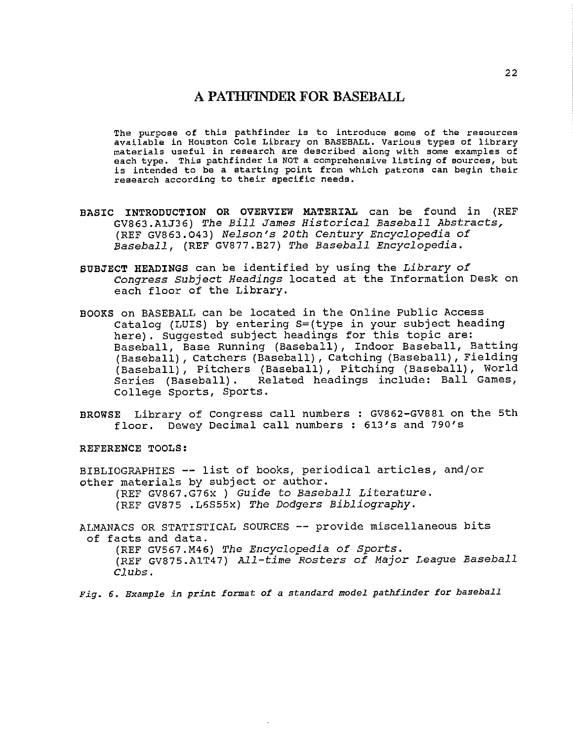### **A PATHFINDER FOR BASEBALL**

**The purpose of this pathfinder is to introduce some of the resources**  available in Houston Cole Library on BASEBALL, Various types of library **materials useful in research are described along with some examples of**  each type. This pathfinder is NOT a comprehensive listing of sources, but is intended to be a starting point from which patrons can begin their research according to their specific needs.

- **BASIC INTRODUCTION OR OVERVIEW MATERIAL** can be found in (REF GV863.AlJ36) *The Bill James Historical Baseball Abstracts,*  (REF GV863,O43) *Nelson's 20th Century Encyclopedia of Baseball,* (REF GV877.B27) *The Baseball Encyclopedia.*
- **SUBJECT HEADINGS** can be identified by using the *Library of Congress Subject Headings* located at the Information Desk on each floor of the Library.
- **BOOKS** on BASEBALL can be located in the Online Public Access Catalog (LUIS) by entering S=(type in your subject heading here). Suggested subject headings for this topic are: Baseball, Base Running (Baseball), Indoor Baseball, Batting (Baseball), catchers (Baseball), Catching (Baseball), Fielding (Baseball), Pitchers (Baseball), Pitching (Baseball), World Series (Baseball) . Related headings include: Ball Games, College Sports, Sports.
- BROWSE Library of Congress call numbers: GV862-GV881 on the 5th floor. Dewey Decimal call numbers: 613's and 790's

**REFERENCE TOOLS:** 

BIBLIOGRAPHIES -- list of books, periodical articles, and/or other materials by subject or author.

(REF GV867.G76x) *Guide to Baseball Literature.* 

(REF GV875 .L6S55x) *The Dodgers Bibliography.* 

ALMANACS OR STATISTICAL SOURCES -- provide miscellaneous bits of facts and data.

(REF GV567.M46) *The Encyclopedia of Sports.*  (REF GV875.AlT47) *All-time Rosters of Major League Baseball Clubs.* 

Fig. 6. Example in print format of a standard model pathfinder for baseball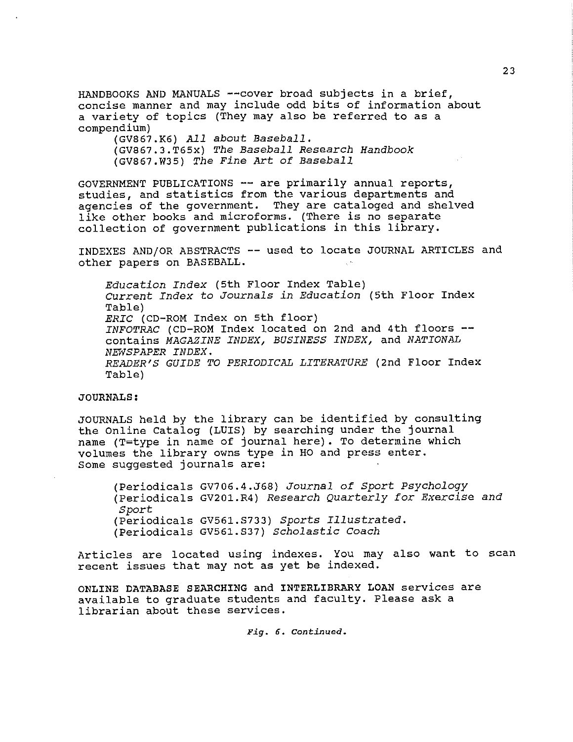HANDBOOKS AND MANUALS --cover broad subjects in a brief, concise manner and may include odd bits of information about a variety of topics (They may also be referred to as a compendium)

(GV867.K6) *AJ.l about Baseball.* 

(GV867.3.T65x) *The Baseball Research Handbook*  (GV867.W35) *The Fine Art of Baseball* 

GOVERNMENT PUBLICATIONS -- are primarily annual reports, studies, and statistics from the various departments and agencies of the government. They are cataloged and shelved like other books and microforms. (There is no separate collection of government publications in this library.

INDEXES AND/OR ABSTRACTS -- used to locate JOURNAL ARTICLES and other papers on BASEBALL.

*Education Index* (5th Floor Index Table) Current *Index to Journals in Education* (5th Floor Index Table) *ERIC* (CD-ROM Index on 5th floor) *INFOTRAC* (CD-ROM Index located on 2nd and 4th floors - contains *MAGAZINE INDEX, BUSINESS INDEX,* and *NATIONAL NE'NSPAPER INDEX. READER'S GUIDE TO PERIODICAL LITERATURE* (2nd Floor Index Table)

### **JOURNALS:**

JOURNALS held by the library can be identified by consulting the Online catalog (LUIS) by searching under the journal name (T=type in name of journal here). To determine which volumes the library owns type in HO and press enter. some suggested journals are:

(Periodicals GV706.4.J68) *Journal of Sport Psychology*  (Periodicals GV201.R4) *Research Quarterly for Exercise and Sport*  (Periodicals GV561.S733) *Sports Illustrated.*  (Periodicals GV561.S37) *Scholastic Coach* 

Articles are located using indexes. You may also want to scan recent issues that may not as yet be indexed.

**ONLINE DATABASE SEARCHING** and **INTERLIBRARY LOAN** services are available to graduate students and faculty. Please ask a librarian about these services.

*Fig. 6. Conrinued.*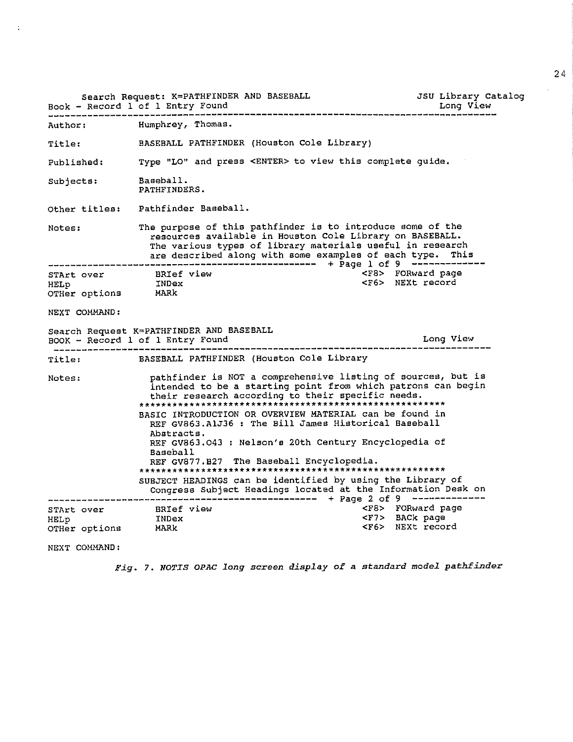|                                                                                                                                                                                                                                                                                                                                                                                                                                                                                                                                                                             | Search Request: K=PATHFINDER AND BASEBALL<br>Book - Record 1 of 1 Entry Found                                                                                                                                                                    | JSU Library Catalog<br>Long View |  |  |  |
|-----------------------------------------------------------------------------------------------------------------------------------------------------------------------------------------------------------------------------------------------------------------------------------------------------------------------------------------------------------------------------------------------------------------------------------------------------------------------------------------------------------------------------------------------------------------------------|--------------------------------------------------------------------------------------------------------------------------------------------------------------------------------------------------------------------------------------------------|----------------------------------|--|--|--|
| Author: The Manufacturer                                                                                                                                                                                                                                                                                                                                                                                                                                                                                                                                                    | Humphrey, Thomas.                                                                                                                                                                                                                                |                                  |  |  |  |
| <b>Title:</b>                                                                                                                                                                                                                                                                                                                                                                                                                                                                                                                                                               | BASEBALL PATHFINDER (Houston Cole Library)                                                                                                                                                                                                       |                                  |  |  |  |
| Published:                                                                                                                                                                                                                                                                                                                                                                                                                                                                                                                                                                  | Type "LO" and press <enter> to view this complete guide.</enter>                                                                                                                                                                                 |                                  |  |  |  |
| Subjects:                                                                                                                                                                                                                                                                                                                                                                                                                                                                                                                                                                   | Baseball.<br>PATHFINDERS.                                                                                                                                                                                                                        |                                  |  |  |  |
|                                                                                                                                                                                                                                                                                                                                                                                                                                                                                                                                                                             | Other titles: Pathfinder Baseball.                                                                                                                                                                                                               |                                  |  |  |  |
| Notes:                                                                                                                                                                                                                                                                                                                                                                                                                                                                                                                                                                      | The purpose of this pathfinder is to introduce some of the<br>resources available in Houston Cole Library on BASEBALL.<br>The various types of library materials useful in research<br>are described along with some examples of each type. This |                                  |  |  |  |
| HELP<br>OTHer options MARK                                                                                                                                                                                                                                                                                                                                                                                                                                                                                                                                                  | <f8> FORward page<br/>STArt over BRIef view<br/><f6> NEXt record<br/>INDex</f6></f8>                                                                                                                                                             |                                  |  |  |  |
| NEXT COMMAND:                                                                                                                                                                                                                                                                                                                                                                                                                                                                                                                                                               |                                                                                                                                                                                                                                                  |                                  |  |  |  |
|                                                                                                                                                                                                                                                                                                                                                                                                                                                                                                                                                                             | Search Request K=PATHFINDER AND BASEBALL<br>BOOK - Record 1 of 1 Entry Found                                                                                                                                                                     | Long View                        |  |  |  |
| Title: Title:                                                                                                                                                                                                                                                                                                                                                                                                                                                                                                                                                               | BASEBALL PATHFINDER (Houston Cole Library                                                                                                                                                                                                        |                                  |  |  |  |
| pathfinder is NOT a comprehensive listing of sources, but is<br>Notes:<br>intended to be a starting point from which patrons can begin<br>their research according to their specific needs.<br>BASIC INTRODUCTION OR OVERVIEW MATERIAL can be found in<br>REF GV863.AlJ36 : The Bill James Historical Baseball<br>Abstracts.<br>REF GV863.043 : Nelson's 20th Century Encyclopedia of<br>Baseball<br>REF GV877.B27 The Baseball Encyclopedia.<br>SUBJECT HEADINGS can be identified by using the Library of<br>Congress Subject Headings located at the Information Desk on |                                                                                                                                                                                                                                                  |                                  |  |  |  |
| <f8> FORward page<br/>STArt over BRIef view<br/>HELp 1NDex<br/><f7> BACk page<br/><f6> NEXt record<br/>OTHer options MARk</f6></f7></f8>                                                                                                                                                                                                                                                                                                                                                                                                                                    |                                                                                                                                                                                                                                                  |                                  |  |  |  |

NEXT COMMAND:

 $\hat{\mathbf{r}}$ 

*Fig. 7. NOTIS OPAC long screen display of a standard model pathfinder*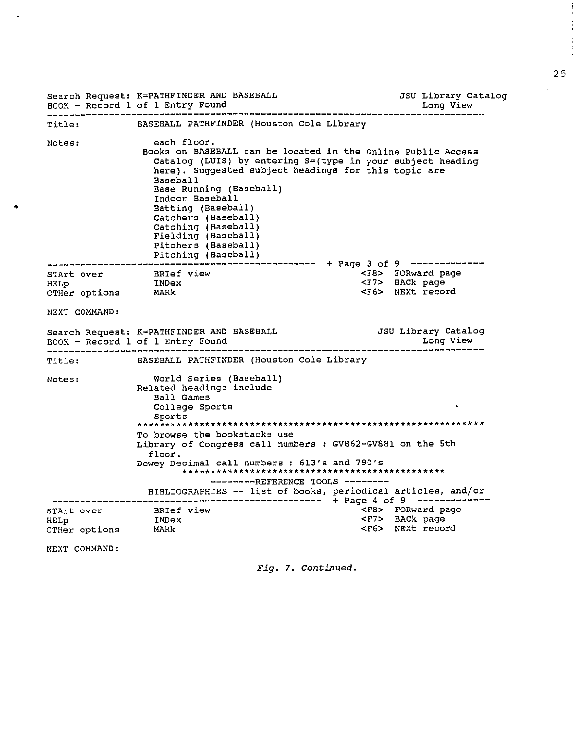|                                  | Search Request: K=PATHFINDER AND BASEBALL<br>BOOK - Record 1 of 1 Entry Found                                                                                                                                                                                                                                                                 | JSU Library Catalog<br>Long View                             |
|----------------------------------|-----------------------------------------------------------------------------------------------------------------------------------------------------------------------------------------------------------------------------------------------------------------------------------------------------------------------------------------------|--------------------------------------------------------------|
| <b>Title:</b>                    | BASEBALL PATHFINDER (Houston Cole Library                                                                                                                                                                                                                                                                                                     |                                                              |
| Notes:                           | each floor.<br>Books on BASEBALL can be located in the Online Public Access<br>here). Suggested subject headings for this topic are<br><b>Baseball</b><br>Base Running (Baseball)<br>Indoor Baseball<br>Batting (Baseball)<br>Catchers (Baseball)<br>Catching (Baseball)<br>Fielding (Baseball)<br>Pitchers (Baseball)<br>Pitching (Baseball) | Catalog (LUIS) by entering S=(type in your subject heading   |
| STArt over                       | BRIef view                                                                                                                                                                                                                                                                                                                                    | <f8> FORward page</f8>                                       |
| HELP INDex<br>OTHer options MARk |                                                                                                                                                                                                                                                                                                                                               | <f7> BACk page<br/><f6> NEXt record</f6></f7>                |
|                                  |                                                                                                                                                                                                                                                                                                                                               |                                                              |
| NEXT COMMAND:                    |                                                                                                                                                                                                                                                                                                                                               |                                                              |
|                                  | Search Request: K=PATHFINDER AND BASEBALL<br>BOOK - Record 1 of 1 Entry Found                                                                                                                                                                                                                                                                 | JSU Library Catalog<br>Long View                             |
| ------------------<br>Title:     | BASEBALL PATHFINDER (Houston Cole Library                                                                                                                                                                                                                                                                                                     |                                                              |
| Notes:                           | World Series (Baseball)<br>Related headings include<br>Ball Games<br>College Sports<br>Sports<br>To browse the bookstacks use<br>Library of Congress call numbers : GV862-GV881 on the 5th<br>floor.<br>Dewey Decimal call numbers: 613's and 790's<br>$------REFFERENCE TOOLS$ --------                                                      |                                                              |
|                                  |                                                                                                                                                                                                                                                                                                                                               | BIBLIOGRAPHIES -- list of books, periodical articles, and/or |
| STArt over                       | BRIef view                                                                                                                                                                                                                                                                                                                                    | <f8> FORward page</f8>                                       |
| HELp                             | INDex                                                                                                                                                                                                                                                                                                                                         | <f7> BACk page</f7>                                          |
| OTHer options MARk               |                                                                                                                                                                                                                                                                                                                                               | <f6> NEXt record</f6>                                        |
| NEXT COMMAND:                    |                                                                                                                                                                                                                                                                                                                                               |                                                              |

 $\bullet$ 

 $\sim$ 

*Fig.* 7. *Continued.* 

 $\hat{\boldsymbol{\alpha}}$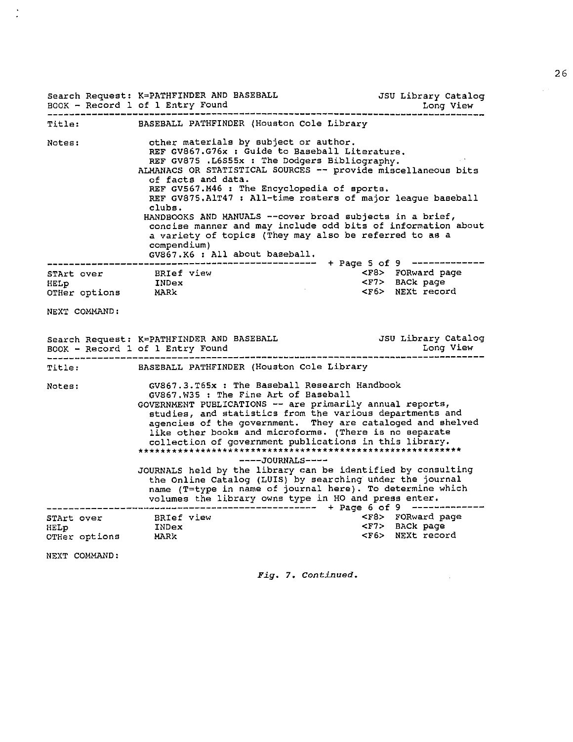|                                                           | Search Request: K=PATHFINDER AND BASEBALL<br>Reavy Research Lef L. Return Found<br>BOOK - Record 1 of 1 Entry Found                                                                                                                                                                                                                                                                                                                                                                                                                                                                                                                                                  | JSU Library Catalog                            |  |  |  |  |
|-----------------------------------------------------------|----------------------------------------------------------------------------------------------------------------------------------------------------------------------------------------------------------------------------------------------------------------------------------------------------------------------------------------------------------------------------------------------------------------------------------------------------------------------------------------------------------------------------------------------------------------------------------------------------------------------------------------------------------------------|------------------------------------------------|--|--|--|--|
|                                                           | Title: BASEBALL PATHFINDER (Houston Cole Library                                                                                                                                                                                                                                                                                                                                                                                                                                                                                                                                                                                                                     |                                                |  |  |  |  |
| Notes:                                                    | other materials by subject or author.<br>REF GV867.G76x : Guide to Baseball Literature.<br>REF GV875 .L6S55x : The Dodgers Bibliography.<br>ALMANACS OR STATISTICAL SOURCES -- provide miscellaneous bits<br>of facts and data.<br>REF GV567.M46 : The Encyclopedia of sports.<br>REF GV875.AlT47 : All-time rosters of major league baseball<br>clubs.<br>HANDBOOKS AND MANUALS -- cover broad subjects in a brief,<br>concise manner and may include odd bits of information about<br>a variety of topics (They may also be referred to as a<br>compendium)<br>GV867.K6 : All about baseball.<br>+ Page 5 of 9 -------------                                       |                                                |  |  |  |  |
|                                                           | STArt over BRIef view<br>HELP INDex                                                                                                                                                                                                                                                                                                                                                                                                                                                                                                                                                                                                                                  | <f8> FORward page<br/><f7> BACk page</f7></f8> |  |  |  |  |
| OTHer options MARk                                        |                                                                                                                                                                                                                                                                                                                                                                                                                                                                                                                                                                                                                                                                      | <f6> NEXt record</f6>                          |  |  |  |  |
| NEXT COMMAND:                                             |                                                                                                                                                                                                                                                                                                                                                                                                                                                                                                                                                                                                                                                                      |                                                |  |  |  |  |
|                                                           |                                                                                                                                                                                                                                                                                                                                                                                                                                                                                                                                                                                                                                                                      |                                                |  |  |  |  |
|                                                           | Title: BASEBALL PATHFINDER (Houston Cole Library                                                                                                                                                                                                                                                                                                                                                                                                                                                                                                                                                                                                                     |                                                |  |  |  |  |
| Notes:                                                    | GV867.3.T65x : The Baseball Research Handbook<br>GV867.W35 : The Fine Art of Baseball<br>GOVERNMENT PUBLICATIONS -- are primarily annual reports,<br>studies, and statistics from the various departments and<br>agencies of the government. They are cataloged and shelved<br>like other books and microforms. (There is no separate<br>collection of government publications in this library.<br>----JOURNALS----<br>JOURNALS held by the library can be identified by consulting<br>the Online Catalog (LUIS) by searching under the journal<br>name (T=type in name of journal here). To determine which<br>volumes the library owns type in HO and press enter. |                                                |  |  |  |  |
| STArt over BRIef view<br>HELp INDex<br>OTHer options MARk |                                                                                                                                                                                                                                                                                                                                                                                                                                                                                                                                                                                                                                                                      | <f8> FORward page</f8>                         |  |  |  |  |
|                                                           |                                                                                                                                                                                                                                                                                                                                                                                                                                                                                                                                                                                                                                                                      | <f7> BACk page<br/><f6> NEXt record</f6></f7>  |  |  |  |  |
| NEXT COMMAND:                                             |                                                                                                                                                                                                                                                                                                                                                                                                                                                                                                                                                                                                                                                                      |                                                |  |  |  |  |

 $\frac{1}{2}$ 

*Fig.* 7. *Concinued.* 

 $\mathcal{L}^{\text{max}}_{\text{max}}$  ,  $\mathcal{L}^{\text{max}}_{\text{max}}$ 

 $\sim$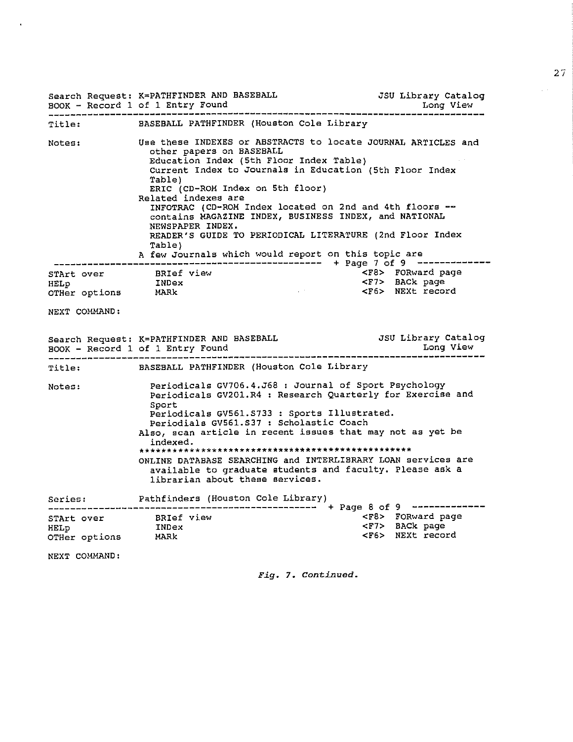|                                                  | Search Request: K=PATHFINDER AND BASEBALL<br>BOOK - Record 1 of 1 Entry Found                                                                                                                                                                                                                                                                                                                                                                                                                                                             | JSU Library Catalog<br>Long View               |
|--------------------------------------------------|-------------------------------------------------------------------------------------------------------------------------------------------------------------------------------------------------------------------------------------------------------------------------------------------------------------------------------------------------------------------------------------------------------------------------------------------------------------------------------------------------------------------------------------------|------------------------------------------------|
|                                                  | Title: BASEBALL PATHFINDER (Houston Cole Library                                                                                                                                                                                                                                                                                                                                                                                                                                                                                          |                                                |
| Notes:                                           | Use these INDEXES or ABSTRACTS to locate JOURNAL ARTICLES and<br>other papers on BASEBALL<br>Education Index (5th Floor Index Table)<br>Current Index to Journals in Education (5th Floor Index<br>Table)<br>ERIC (CD-ROM Index on 5th floor)<br>Related indexes are<br>INFOTRAC (CD-ROM Index located on 2nd and 4th floors --<br>contains MAGAZINE INDEX, BUSINESS INDEX, and NATIONAL<br>NEWSPAPER INDEX.<br>READER'S GUIDE TO PERIODICAL LITERATURE (2nd Floor Index<br>Table)<br>A few Journals which would report on this topic are |                                                |
|                                                  |                                                                                                                                                                                                                                                                                                                                                                                                                                                                                                                                           | <f8> FORward page</f8>                         |
| STArt over BRIef view<br>HELp BRIef view<br>HELp |                                                                                                                                                                                                                                                                                                                                                                                                                                                                                                                                           | <f7> BACk page<br/><f6> NEXt record</f6></f7>  |
| OTHer options MARk                               | and a state of                                                                                                                                                                                                                                                                                                                                                                                                                                                                                                                            |                                                |
| NEXT COMMAND:                                    |                                                                                                                                                                                                                                                                                                                                                                                                                                                                                                                                           |                                                |
|                                                  | Search Request: K=PATHFINDER AND BASEBALL<br>BOOK - Record 1 of 1 Entry Found                                                                                                                                                                                                                                                                                                                                                                                                                                                             | JSU Library Catalog<br>Long View               |
| Title:                                           | BASEBALL PATHFINDER (Houston Cole Library                                                                                                                                                                                                                                                                                                                                                                                                                                                                                                 |                                                |
| Notes:                                           | Periodicals GV706.4.J68 : Journal of Sport Psychology<br>Periodicals GV201.R4 : Research Quarterly for Exercise and<br>Sport<br>Periodicals GV561.S733 : Sports Illustrated.<br>Periodials GV561.S37 : Scholastic Coach<br>Also, scan article in recent issues that may not as yet be<br>indexed.<br>ONLINE DATABASE SEARCHING and INTERLIBRARY LOAN services are<br>available to graduate students and faculty. Please ask a<br>librarian about these services.                                                                          |                                                |
|                                                  | Series: Pathfinders (Houston Cole Library)                                                                                                                                                                                                                                                                                                                                                                                                                                                                                                |                                                |
| STArt over BRIef view                            |                                                                                                                                                                                                                                                                                                                                                                                                                                                                                                                                           | <f8> FORward page<br/><f7> BACk page</f7></f8> |
| HELp                                             | INDex                                                                                                                                                                                                                                                                                                                                                                                                                                                                                                                                     |                                                |
| OTHer options MARK                               |                                                                                                                                                                                                                                                                                                                                                                                                                                                                                                                                           | <f6> NEXt record</f6>                          |
| NEXT COMMAND:                                    |                                                                                                                                                                                                                                                                                                                                                                                                                                                                                                                                           |                                                |

 $\bar{\phantom{a}}$ 

*Fig.* **7. ConCinued.** 

27

 $\sim$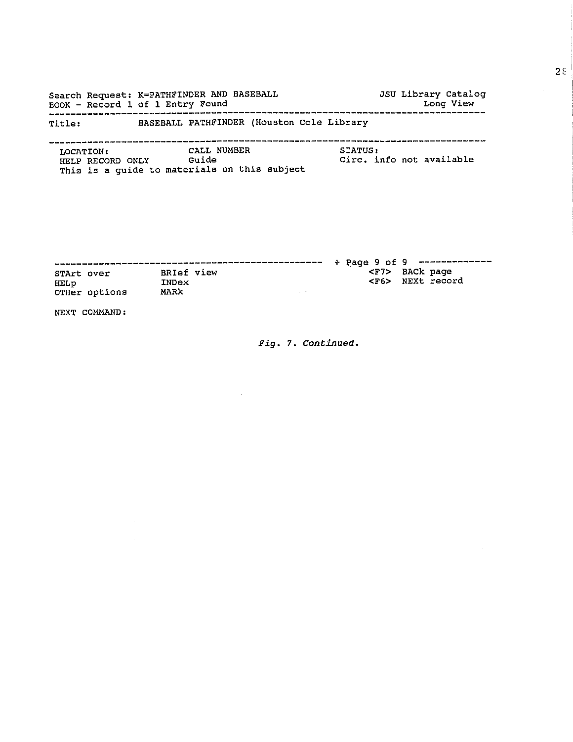Search Request: K=PATHFINDER AND BASEBALL BOOK - Record l of l Entry Found Long View ------------------------------------------------------------------------------ JSU Library Catalog Title: BASEBALL PATHFINDER (Houston Cole Library

------------------------------------------------------------------------------ LOCATION: HELP RECORD ONLY Guide This is a guide to materials on this subject CALL NUMBER STATUS: Circ. info not available

|                    |               |                            |        |  |  |                     | $+$ Page 9 of 9 ------------- |
|--------------------|---------------|----------------------------|--------|--|--|---------------------|-------------------------------|
| STArt over<br>HELp |               | <b>BRIef view</b><br>INDex |        |  |  | <f7> BACk page</f7> | <f6> NEXt record</f6>         |
|                    | OTHer options | MARK                       | $\sim$ |  |  |                     |                               |

NEXT COMMAND:

*Fig.* 7. *Conrinued.*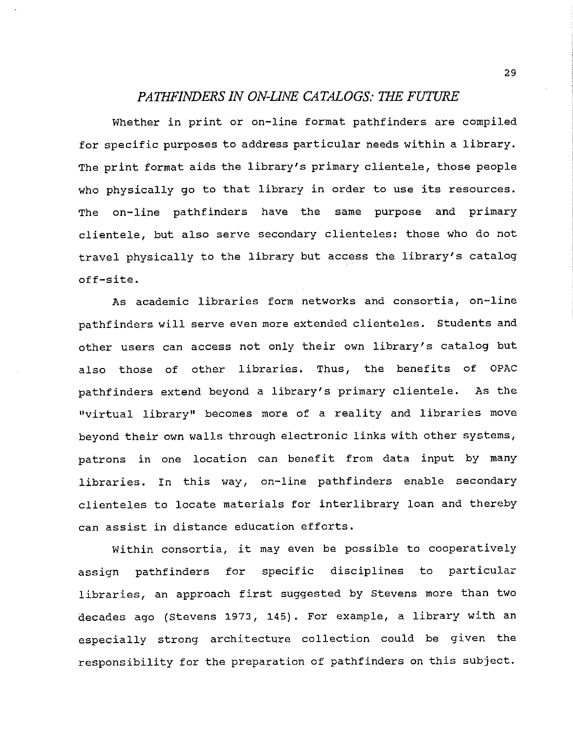### *PATHFINDERS IN ON-UNE CATALOGS: THE FUTURE*

Whether in print or on-line format pathfinders are compiled for specific purposes to address particular needs within a library. The print format aids the library's primary clientele, those people who physically go to that library in order to use its resources. The on-line pathfinders have the same purpose and primary clientele, but also serve secondary clienteles: those who do not travel physically to the library but access the library's catalog off-site.

As academic libraries form networks and consortia, on-line pathfinders will serve even more extended clienteles. Students and other users can access not only their own library's catalog but also those of other libraries. Thus, the benefits of OPAC pathfinders extend beyond a library's primary clientele. As the "virtual library" becomes more of a reality and libraries move beyond their own walls through electronic links with other systems, patrons in one location can benefit from data input by many libraries. In this way, on-line pathfinders enable secondary clienteles to locate materials for interlibrary loan and thereby can assist in distance education efforts.

Within consortia, it may even be possible to cooperatively assign pathfinders for specific disciplines to particular libraries, an approach first suggested by Stevens more than two decades ago (Stevens 1973, 145). For example, a library with an especially strong architecture collection could be given the responsibility for the preparation of pathfinders on this subject.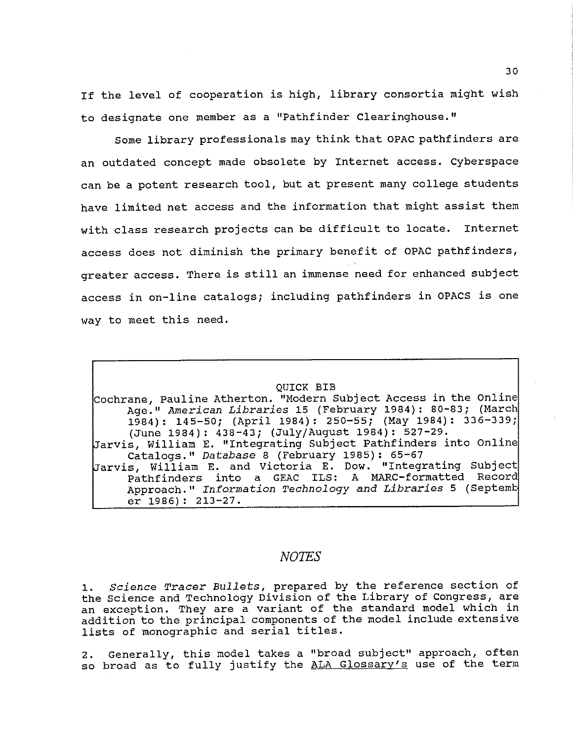If the level of cooperation is high, library consortia might wish to designate one member as a "Pathfinder Clearinghouse."

Some library professionals may think that OPAC pathfinders are an outdated concept made obsolete by Internet access. Cyberspace can be a potent research tool, but at present many college students have limited net access and the information that might assist them with class research projects can be difficult to locate. Internet access does not diminish the primary benefit of OPAC pathfinders, greater access. There is still an immense need for enhanced subject access in on-line catalogs; including pathfinders in OPACS is one way to meet this need.

### QUICK BIB

Cochrane, Pauline Atherton. "Modern Subject Access in the Online Age. 11 *American Libraries* 15 (February 1984) : 80-83; (March 1984): 145-50; (April 1984): 250-55; (May 1984): 336-339; (June 1984): 438-43; (July/August 1984): 527-29. Jarvis, William E. "Integrating Subject Pathfinders into Online catalogs." *Database* 8 (February 1985): 65-67 Jarvis, William E. and Victoria E. Dow. "Integrating Subject Pathfinders into a GEAC ILS: A MARC-formatted Record Approach." *Information Technology and Libraries* 5 (Septeml: er 1986): 213-27.

### *NOTES*

1. *Science Tracer Bullets,* prepared by the reference section of the Science and Technology Division of the Library of Congress, are an exception. They are a variant of the standard model which in addition to the principal components of the model include extensive lists of monographic and serial titles.

2. Generally, this model takes a "broad subject" approach, often so broad as to fully justify the ALA Glossary's use of the term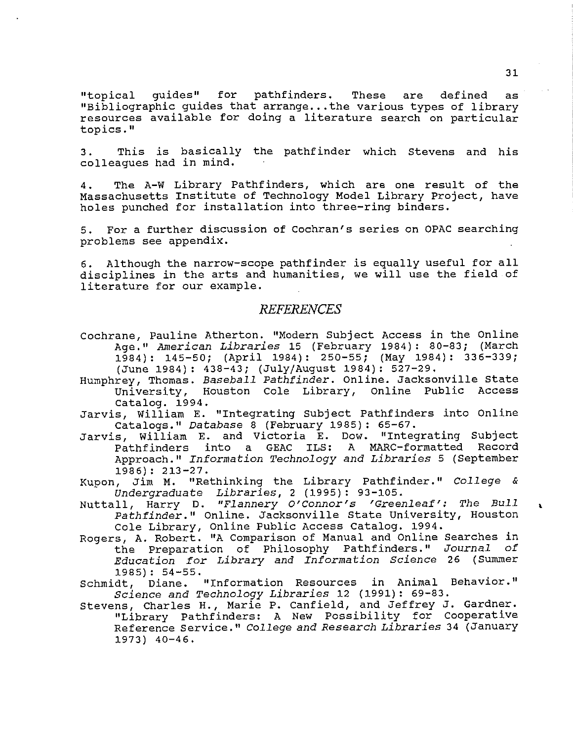"topical guides" for pathfinders. These are defined as "Bibliographic guides that arrange...the various types of library resources available for doing a literature search on particular topics,"

3. This is basically the pathfinder which Stevens and his colleagues had in mind.

4, The A-W Library Pathfinders, which are one result of the Massachusetts Institute of Technology Model Library Project, have holes punched for installation into three-ring binders.

5. For a further discussion of Cochran's series on OPAC searching problems see appendix.

6. Although the narrow-scope pathfinder is equally useful for all disciplines in the arts and humanities, we will use the field of literature for our example.

### *REFERE1VCES*

- Cochrane, Pauline Atherton. "Modern Subject Access in the Online Age. 11 *American Libraries* 15 (February 1984) : 80-83; (March 1984}: 145-50; (April 1984): 250-55; {May 1984}: 336-339; (June 1984}: 438-43; (July/August 1984): 527-29,
- Humphrey, Thomas. *Baseball Pathfinder.* Online. Jacksonville state University, Houston Cole Library, Online Public Access Catalog. 1994.
- Jarvis, William E. "Integrating Subject Pathfinders into Online catalogs. 11 *Database* 8 {February 1985) : 65-67.
- Jarvis, William E, and Victoria E. Dow. "Integrating Subject Pathfinders into a GEAC ILS: A MARC-formatted Record Approach. 11 *Information Technology and Libraries* 5 (September 1986): 213-27.

Kupon, Jim M. "Rethinking the Library Pathfinder." *College* & *Undergraduate Libraries,* 2 (1995): 93-105.

- Nuttall, Harry D. *"Flannery O'Connor's 'Greenleaf': The Bull Pathfinder."* Online. Jacksonville state University, Houston Cole Library, Online Public Access catalog. 1994.
- Rogers, A. Robert. "A Comparison of Manual and Online Searches in the Preparation of Philosophy Pathfinders." *Journal of Education for Library and Information Science* 26 ( summer 1985): 54-55.
- Schmidt, Diane. "Information Resources in Animal Behavior." *Science and Technology Libraries* 12 (1991}: 69-83.
- Stevens, Charles H., Marie P. Canfield, and Jeffrey J, Gardner. "Library Pathfinders: A New Possibility for cooperative Reference Service," *College and Research Libraries* 34 (January 1973} 40-46.

 $\mathbf{r}$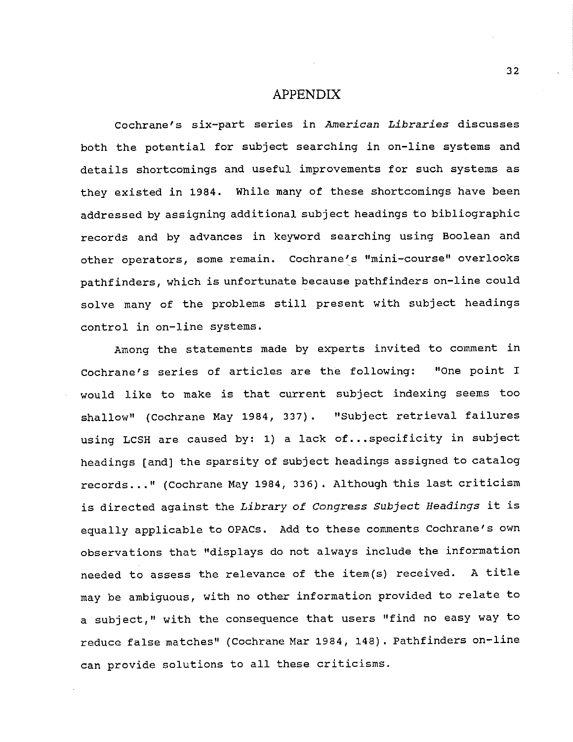### APPENDIX

Cochrane's six-part series in American Libraries discusses both the potential for subject searching in on-line systems and details shortcomings and useful improvements for such systems as they existed in 1984. While many of these shortcomings have been addressed by assigning additional subject headings to bibliographic records and by advances in keyword searching using Boolean and other operators, some remain. Cochrane's "mini-course" overlooks pathfinders, which is unfortunate because pathfinders on-line could solve many of the problems still present with subject headings control in on-line systems.

Among the statements made by experts invited to comment in cochrane's series of articles are the following: "One point I would like to make is that current subject indexing seems too shallow" (Cochrane May 1984, 337). "Subject retrieval failures using LCSH are caused by: 1) a lack of...specificity in subject headings (and] the sparsity of subject headings assigned to catalog records ... 11 (Cochrane May 1984, 336). Although this last criticism is directed against the *Library of* Congress *Subject Headings* it is equally applicable to OPACs. Add to these comments Cochrane's own observations that "displays do not always include the information needed to assess the relevance of the item(s) received. A title may be ambiguous, with no other information provided to relate to a subject," with the consequence that users "find no easy way to reduce false matches" (Cochrane Mar 1984, 148). Pathfinders on-line can provide solutions to all these criticisms.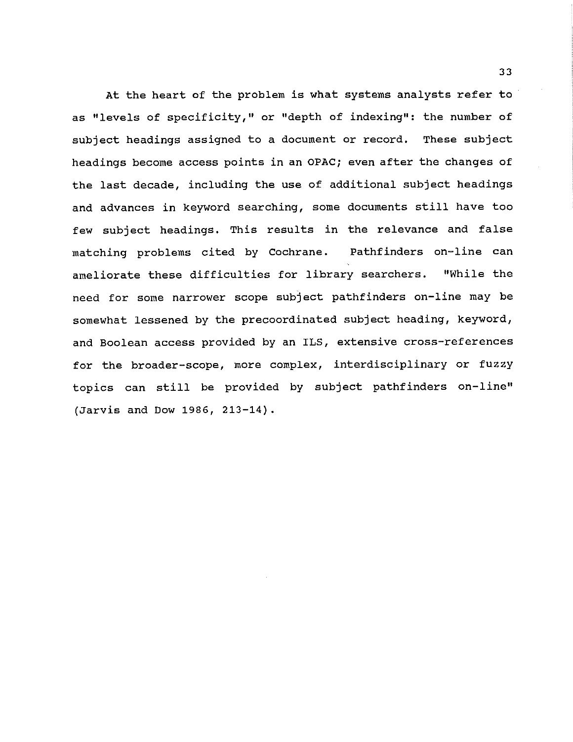At the heart of the problem is what systems analysts refer to as "levels of specificity," or "depth of indexing": the number of subject headings assigned to a document or record. These subject headings become access points in an OPAC; even after the changes of the last decade, including the use of additional subject headings and advances in keyword searching, some documents still have too few subject headings. This results in the relevance and false matching problems cited by Cochrane. Pathfinders on-line can ameliorate these difficulties for library searchers. "While the need for some narrower scope subject pathfinders on-line may be somewhat lessened by the precoordinated subject heading, keyword, and Boolean access provided by an ILS, extensive cross-references for the broader-scope, more complex, interdisciplinary or fuzzy topics can still be provided by subject pathfinders on-line" (Jarvis and Dow 1986, 213-14).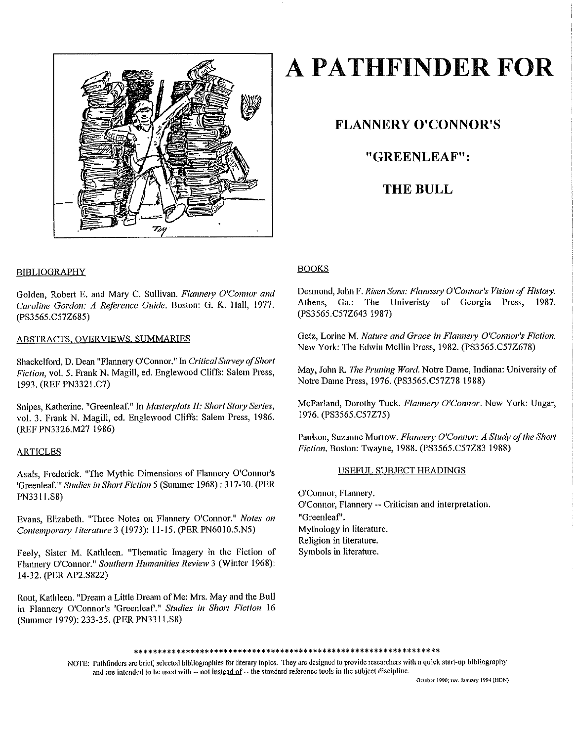

# **A PATHFINDER FOR**

### **FLANNERY O'CONNOR'S**

### **"GREENLEAF":**

### **THE BULL**

### BIBLIOGRAPHY

Golden, Robert E. and Mary C. Sullivan. *Flannery O'Connor and Caroline Gordon: A Reference Guide.* Boston: G. K. Hall, 1977. (PS3565.C57Z685)

### ABSTRACTS, OVERVIEWS, SUMMARIES

Shackelford, D. Dean "Flannery O'Connor." In *Critical Survey of Short Fiction,* vol. 5. Frank N. Magill, ed. Englewood Cliffs: Salem Press, 1993. (REF PN3321.C7)

Snipes, Katherine. "Greenleaf." In *Masterplots II: Short Story Series*, vol. 3. Frank N. Magill, ed. Englewood Cliffs: Salem Press, 1986. (REF PN3326.M27 1986)

### **ARTICLES**

Asals, Frederick. "The Mythic Dimensions of Flannery O'Connor's 'Greenleaf."' *Studies in Short Fiction* 5 (Summer 1968) : 317-30. (PER PN33ll.S8)

Evans, Elizabeth. "Three Notes on Flannery O'Connor." Notes on *Contempormy I iterature* 3 (1973): 11-15. (PER PN6010.5.N5)

Feely, Sister M. Kathleen. "Thematic Imagery in the Fiction of Flannery O'Connor." *Southern Humanities Review* 3 (Winter 1968): 14-32. (PER AP2.S822)

Rout, Kathleen. "Dream a Little Dream of Me: Mrs. May and the Bull in Flannery O'Connor's 'Greenleaf'." *Studies in Short Fiction* 16 (Summer 1979): 233-35. (PER PN3311.S8)

### **BOOKS**

Desmond, John F. *Risen Sons: Flannery O'Connor's Vision of History*. Athens, Ga.: The Univeristy of Georgia Press, 1987. (PS3565.C57Z643 1987)

Getz, Lorine M. *Nature and Grace in Flannery O'Connor's Fiction*. New York: The Edwin Mellin Press, 1982. (PS3565.C57Z678)

May, John R. *The Pruning Word.* Notre Dame, Indiana: University of Notre Dame Press, 1976. (PS3565.C57Z78 1988)

McFarland, Dorothy Tuck. Flannery O'Connor. New York: Ungar, 1976. (PS3565.C57Z75)

Paulson, Suzanne Morrow. *Flannery O'Connor: A Study of the Short Fiction.* Boston: Twayne, 1988. (PS3565.C57Z83 1988)

### USEFUL SUBJECT HEADINGS

O'Connor, Flannery. O'Connor, Flannery -- Criticism and interpretation. "Greenleaf". Mythology in literature. Religion in literature. Symbols in literature.

### \*\*\*\*\*\*\*\*\*\*\*\*\*\*\*\*\*\*\*\*\*\*\*\*\*\*\*\*\*\*\*\*\*\*\*\*\*\*\*\*\*\*\*\*\*\*\*\*\*\*\*\*\*\*\*\*\*\*\*\*\*\*\*\*\*

NOTE: Pathfinders are brief, selected bibliographics for literary topics. They arc designed to provide researchers with a quick start-up bibliography and are intended to be used with -- not instead of -- the standard reference tools in the subject discipline.